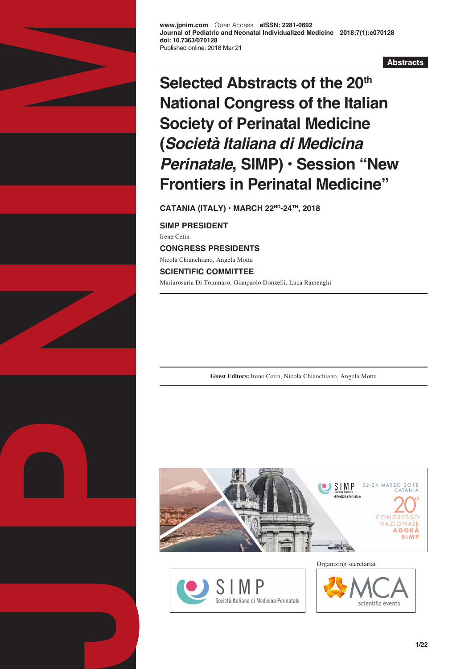

**www.jpnim.com** Open Access **eISSN: 2281-0692 Journal of Pediatric and Neonatal Individualized Medicine 2018;7(1):e070128 doi: 10.7363/070128** Published online: 2018 Mar 21

**Abstracts**

# **Selected Abstracts of the 20th National Congress of the Italian Society of Perinatal Medicine (***Società Italiana di Medicina Perinatale***, SIMP) • Session "New Frontiers in Perinatal Medicine"**

**CATANIA (ITALY) • MARCH 22ND-24TH, 2018**

**SIMP PRESIDENT** Irene Cetin **CONGRESS PRESIDENTS** Nicola Chianchiano, Angela Motta **SCIENTIFIC COMMITTEE** Mariarosaria Di Tommaso, Gianpaolo Donzelli, Luca Ramenghi

**Guest Editors:** Irene Cetin, Nicola Chianchiano, Angela Motta





Organizing secretariat

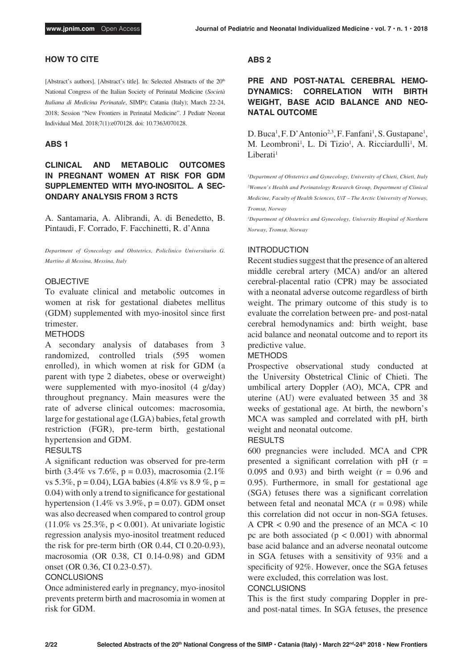# **HOW TO CITE**

[Abstract's authors]. [Abstract's title]. In: Selected Abstracts of the 20<sup>th</sup> National Congress of the Italian Society of Perinatal Medicine (*Società Italiana di Medicina Perinatale*, SIMP); Catania (Italy); March 22-24, 2018; Session "New Frontiers in Perinatal Medicine". J Pediatr Neonat Individual Med. 2018;7(1):e070128. doi: 10.7363/070128.

# **ABS 1**

# **CLINICAL AND METABOLIC OUTCOMES IN PREGNANT WOMEN AT RISK FOR GDM SUPPLEMENTED WITH MYO-INOSITOL. A SEC-ONDARY ANALYSIS FROM 3 RCTS**

A. Santamaria, A. Alibrandi, A. di Benedetto, B. Pintaudi, F. Corrado, F. Facchinetti, R. d'Anna

*Department of Gynecology and Obstetrics, Policlinico Universitario G. Martino di Messina, Messina, Italy*

## OBJECTIVE

To evaluate clinical and metabolic outcomes in women at risk for gestational diabetes mellitus (GDM) supplemented with myo-inositol since first trimester.

#### METHODS

A secondary analysis of databases from 3 randomized, controlled trials (595 women enrolled), in which women at risk for GDM (a parent with type 2 diabetes, obese or overweight) were supplemented with myo-inositol (4 g/day) throughout pregnancy. Main measures were the rate of adverse clinical outcomes: macrosomia, large for gestational age (LGA) babies, fetal growth restriction (FGR), pre-term birth, gestational hypertension and GDM.

## RESULTS

A significant reduction was observed for pre-term birth (3.4% vs 7.6%, p = 0.03), macrosomia (2.1%) vs 5.3%, p = 0.04), LGA babies (4.8% vs 8.9 %, p = 0.04) with only a trend to significance for gestational hypertension (1.4% vs  $3.9\%$ , p = 0.07). GDM onset was also decreased when compared to control group  $(11.0\% \text{ vs } 25.3\%, \text{ p} < 0.001)$ . At univariate logistic regression analysis myo-inositol treatment reduced the risk for pre-term birth (OR 0.44, CI 0.20-0.93), macrosomia (OR 0.38, CI 0.14-0.98) and GDM onset (OR 0.36, CI 0.23-0.57).

# **CONCLUSIONS**

Once administered early in pregnancy, myo-inositol prevents preterm birth and macrosomia in women at risk for GDM.

#### **ABS 2**

**PRE AND POST-NATAL CEREBRAL HEMO-DYNAMICS: CORRELATION WITH BIRTH WEIGHT, BASE ACID BALANCE AND NEO-NATAL OUTCOME**

D. Buca<sup>1</sup>, F. D'Antonio<sup>2,3</sup>, F. Fanfani<sup>1</sup>, S. Gustapane<sup>1</sup>, M. Leombroni<sup>1</sup>, L. Di Tizio<sup>1</sup>, A. Ricciardulli<sup>1</sup>, M. Liberati<sup>1</sup>

*1 Department of Obstetrics and Gynecology, University of Chieti, Chieti, Italy* <sup>2</sup> Women's Health and Perinatology Research Group, Department of Clinical *Medicine, Faculty of Health Sciences, UiT – The Arctic University of Norway, Tromsø, Norway*

*3 Department of Obstetrics and Gynecology, University Hospital of Northern Norway, Tromsø, Norway*

#### INTRODUCTION

Recent studies suggest that the presence of an altered middle cerebral artery (MCA) and/or an altered cerebral-placental ratio (CPR) may be associated with a neonatal adverse outcome regardless of birth weight. The primary outcome of this study is to evaluate the correlation between pre- and post-natal cerebral hemodynamics and: birth weight, base acid balance and neonatal outcome and to report its predictive value.

## METHODS

Prospective observational study conducted at the University Obstetrical Clinic of Chieti. The umbilical artery Doppler (AO), MCA, CPR and uterine (AU) were evaluated between 35 and 38 weeks of gestational age. At birth, the newborn's MCA was sampled and correlated with pH, birth weight and neonatal outcome.

## RESULTS

600 pregnancies were included. MCA and CPR presented a significant correlation with  $pH$  ( $r =$ 0.095 and 0.93) and birth weight  $(r = 0.96$  and 0.95). Furthermore, in small for gestational age (SGA) fetuses there was a significant correlation between fetal and neonatal MCA  $(r = 0.98)$  while this correlation did not occur in non-SGA fetuses. A CPR  $< 0.90$  and the presence of an MCA  $< 10$ pc are both associated  $(p < 0.001)$  with abnormal base acid balance and an adverse neonatal outcome in SGA fetuses with a sensitivity of 93% and a specificity of 92%. However, once the SGA fetuses were excluded, this correlation was lost.

#### **CONCLUSIONS**

This is the first study comparing Doppler in preand post-natal times. In SGA fetuses, the presence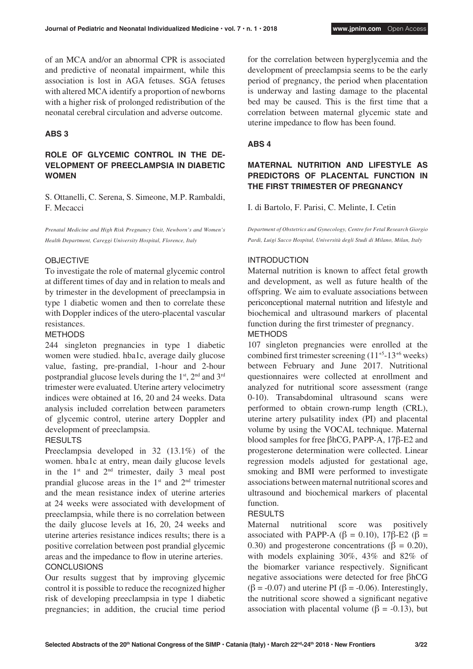of an MCA and/or an abnormal CPR is associated and predictive of neonatal impairment, while this association is lost in AGA fetuses. SGA fetuses with altered MCA identify a proportion of newborns with a higher risk of prolonged redistribution of the neonatal cerebral circulation and adverse outcome.

# **ABS 3**

# **ROLE OF GLYCEMIC CONTROL IN THE DE-VELOPMENT OF PREECLAMPSIA IN DIABETIC WOMEN**

S. Ottanelli, C. Serena, S. Simeone, M.P. Rambaldi, F. Mecacci

*Prenatal Medicine and High Risk Pregnancy Unit, Newborn's and Women's Health Department, Careggi University Hospital, Florence, Italy*

## OBJECTIVE

To investigate the role of maternal glycemic control at different times of day and in relation to meals and by trimester in the development of preeclampsia in type 1 diabetic women and then to correlate these with Doppler indices of the utero-placental vascular resistances.

#### METHODS

244 singleton pregnancies in type 1 diabetic women were studied. hba1c, average daily glucose value, fasting, pre-prandial, 1-hour and 2-hour postprandial glucose levels during the 1st, 2nd and 3rd trimester were evaluated. Uterine artery velocimetry indices were obtained at 16, 20 and 24 weeks. Data analysis included correlation between parameters of glycemic control, uterine artery Doppler and development of preeclampsia.

# **RESULTS**

Preeclampsia developed in 32 (13.1%) of the women. hba1c at entry, mean daily glucose levels in the  $1<sup>st</sup>$  and  $2<sup>nd</sup>$  trimester, daily 3 meal post prandial glucose areas in the  $1<sup>st</sup>$  and  $2<sup>nd</sup>$  trimester and the mean resistance index of uterine arteries at 24 weeks were associated with development of preeclampsia, while there is no correlation between the daily glucose levels at 16, 20, 24 weeks and uterine arteries resistance indices results; there is a positive correlation between post prandial glycemic areas and the impedance to flow in uterine arteries. **CONCLUSIONS** 

Our results suggest that by improving glycemic control it is possible to reduce the recognized higher risk of developing preeclampsia in type 1 diabetic pregnancies; in addition, the crucial time period for the correlation between hyperglycemia and the development of preeclampsia seems to be the early period of pregnancy, the period when placentation is underway and lasting damage to the placental bed may be caused. This is the first time that a correlation between maternal glycemic state and uterine impedance to flow has been found.

# **ABS 4**

# **MATERNAL NUTRITION AND LIFESTYLE AS PREDICTORS OF PLACENTAL FUNCTION IN THE FIRST TRIMESTER OF PREGNANCY**

I. di Bartolo, F. Parisi, C. Melinte, I. Cetin

*Department of Obstetrics and Gynecology, Centre for Fetal Research Giorgio Pardi, Luigi Sacco Hospital, Università degli Studi di Milano, Milan, Italy*

## INTRODUCTION

Maternal nutrition is known to affect fetal growth and development, as well as future health of the offspring. We aim to evaluate associations between periconceptional maternal nutrition and lifestyle and biochemical and ultrasound markers of placental function during the first trimester of pregnancy. METHODS

107 singleton pregnancies were enrolled at the combined first trimester screening (11+5-13+6 weeks) between February and June 2017. Nutritional questionnaires were collected at enrollment and analyzed for nutritional score assessment (range 0-10). Transabdominal ultrasound scans were performed to obtain crown-rump length (CRL), uterine artery pulsatility index (PI) and placental volume by using the VOCAL technique. Maternal blood samples for free βhCG, PAPP-A, 17β-E2 and progesterone determination were collected. Linear regression models adjusted for gestational age, smoking and BMI were performed to investigate associations between maternal nutritional scores and ultrasound and biochemical markers of placental function.

#### **RESULTS**

Maternal nutritional score was positively associated with PAPP-A ( $\beta$  = 0.10), 17 $\beta$ -E2 ( $\beta$  = 0.30) and progesterone concentrations ( $\beta = 0.20$ ), with models explaining 30%, 43% and 82% of the biomarker variance respectively. Significant negative associations were detected for free βhCG  $(\beta = -0.07)$  and uterine PI ( $\beta = -0.06$ ). Interestingly, the nutritional score showed a significant negative association with placental volume ( $\beta$  = -0.13), but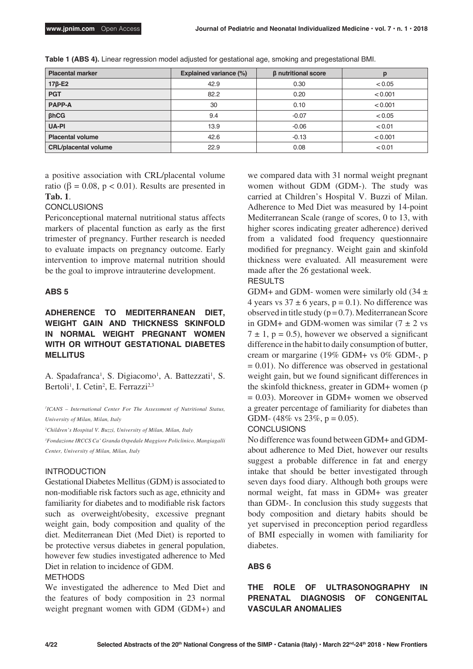| <b>Placental marker</b>             | <b>Explained variance (%)</b> | β nutritional score |         |
|-------------------------------------|-------------------------------|---------------------|---------|
| $17\beta$ -E2                       | 42.9                          | 0.30                | < 0.05  |
| <b>PGT</b>                          | 82.2                          | 0.20                | < 0.001 |
| <b>PAPP-A</b>                       | 30                            | 0.10                | < 0.001 |
| $\beta$ <sub>h</sub> C <sub>G</sub> | 9.4                           | $-0.07$             | < 0.05  |
| <b>UA-PI</b>                        | 13.9                          | $-0.06$             | < 0.01  |
| <b>Placental volume</b>             | 42.6                          | $-0.13$             | < 0.001 |
| <b>CRL/placental volume</b>         | 22.9                          | 0.08                | < 0.01  |

**Table 1 (ABS 4).** Linear regression model adjusted for gestational age, smoking and pregestational BMI.

a positive association with CRL/placental volume ratio ( $\beta = 0.08$ ,  $p < 0.01$ ). Results are presented in **Tab. 1**.

# **CONCLUSIONS**

Periconceptional maternal nutritional status affects markers of placental function as early as the first trimester of pregnancy. Further research is needed to evaluate impacts on pregnancy outcome. Early intervention to improve maternal nutrition should be the goal to improve intrauterine development.

## **ABS 5**

# **ADHERENCE TO MEDITERRANEAN DIET, WEIGHT GAIN AND THICKNESS SKINFOLD IN NORMAL WEIGHT PREGNANT WOMEN WITH OR WITHOUT GESTATIONAL DIABETES MELLITUS**

A. Spadafranca<sup>1</sup>, S. Digiacomo<sup>1</sup>, A. Battezzati<sup>1</sup>, S. Bertoli<sup>1</sup>, I. Cetin<sup>2</sup>, E. Ferrazzi<sup>2,3</sup>

*1 ICANS – International Center For The Assessment of Nutritional Status, University of Milan, Milan, Italy*

*2 Children's Hospital V. Buzzi, University of Milan, Milan, Italy*

*3 Fondazione IRCCS Ca' Granda Ospedale Maggiore Policlinico, Mangiagalli Center, University of Milan, Milan, Italy*

# INTRODUCTION

Gestational Diabetes Mellitus (GDM) is associated to non-modifiable risk factors such as age, ethnicity and familiarity for diabetes and to modifiable risk factors such as overweight/obesity, excessive pregnant weight gain, body composition and quality of the diet. Mediterranean Diet (Med Diet) is reported to be protective versus diabetes in general population, however few studies investigated adherence to Med Diet in relation to incidence of GDM.

## METHODS

We investigated the adherence to Med Diet and the features of body composition in 23 normal weight pregnant women with GDM (GDM+) and we compared data with 31 normal weight pregnant women without GDM (GDM-). The study was carried at Children's Hospital V. Buzzi of Milan. Adherence to Med Diet was measured by 14-point Mediterranean Scale (range of scores, 0 to 13, with higher scores indicating greater adherence) derived from a validated food frequency questionnaire modified for pregnancy. Weight gain and skinfold thickness were evaluated. All measurement were made after the 26 gestational week.

# RESULTS

GDM+ and GDM- women were similarly old  $(34 \pm$ 4 years vs  $37 \pm 6$  years, p = 0.1). No difference was observed in title study  $(p=0.7)$ . Mediterranean Score in GDM+ and GDM-women was similar  $(7 \pm 2 \text{ vs }$  $7 \pm 1$ , p = 0.5), however we observed a significant difference in the habit to daily consumption of butter, cream or margarine (19% GDM+ vs 0% GDM-, p  $= 0.01$ ). No difference was observed in gestational weight gain, but we found significant differences in the skinfold thickness, greater in GDM+ women (p  $= 0.03$ ). Moreover in GDM+ women we observed a greater percentage of familiarity for diabetes than GDM- (48% vs  $23\%$ , p = 0.05).

#### **CONCLUSIONS**

No difference was found between GDM+ and GDMabout adherence to Med Diet, however our results suggest a probable difference in fat and energy intake that should be better investigated through seven days food diary. Although both groups were normal weight, fat mass in GDM+ was greater than GDM-. In conclusion this study suggests that body composition and dietary habits should be yet supervised in preconception period regardless of BMI especially in women with familiarity for diabetes.

# **ABS 6**

# **THE ROLE OF ULTRASONOGRAPHY IN PRENATAL DIAGNOSIS OF CONGENITAL VASCULAR ANOMALIES**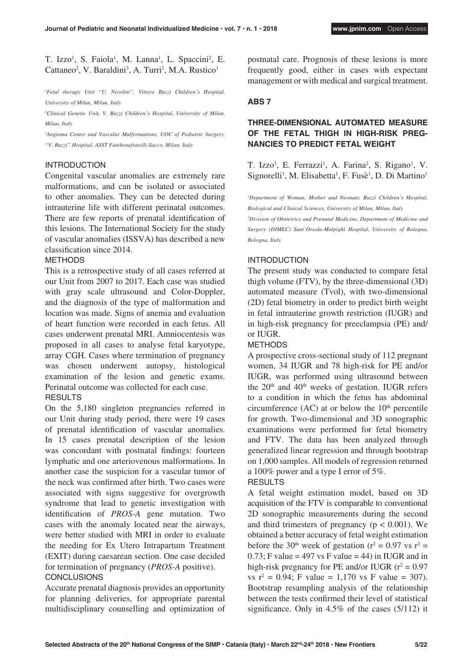T. Izzo<sup>1</sup>, S. Faiola<sup>1</sup>, M. Lanna<sup>1</sup>, L. Spaccini<sup>2</sup>, E.  $Cattaneo<sup>2</sup>, V. Baraldini<sup>3</sup>, A. Turri<sup>1</sup>, M.A. Rustico<sup>1</sup>$ 

*1 Fetal therapy Unit "U. Nicolini", Vittore Buzzi Children's Hospital, University of Milan, Milan, Italy* 

*2 Clinical Genetic Unit, V. Buzzi Children's Hospital, University of Milan, Milan, Italy*

*3 Angioma Center and Vascular Malformations, UOC of Pediatric Surgery, "V. Buzzi" Hospital, ASST Fatebenefratelli-Sacco, Milan, Italy*

# INTRODUCTION

Congenital vascular anomalies are extremely rare malformations, and can be isolated or associated to other anomalies. They can be detected during intrauterine life with different perinatal outcomes. There are few reports of prenatal identification of this lesions. The International Society for the study of vascular anomalies (ISSVA) has described a new classification since 2014.

# METHODS

This is a retrospective study of all cases referred at our Unit from 2007 to 2017. Each case was studied with gray scale ultrasound and Color-Doppler, and the diagnosis of the type of malformation and location was made. Signs of anemia and evaluation of heart function were recorded in each fetus. All cases underwent prenatal MRI. Amniocentesis was proposed in all cases to analyse fetal karyotype, array CGH. Cases where termination of pregnancy was chosen underwent autopsy, histological examination of the lesion and genetic exams. Perinatal outcome was collected for each case. **RESULTS** 

On the 5,180 singleton pregnancies referred in our Unit during study period, there were 19 cases of prenatal identification of vascular anomalies. In 15 cases prenatal description of the lesion was concordant with postnatal findings: fourteen lymphatic and one arteriovenous malformations. In another case the suspicion for a vascular tumor of the neck was confirmed after birth. Two cases were associated with signs suggestive for overgrowth syndrome that lead to genetic investigation with identification of *PROS-A* gene mutation. Two cases with the anomaly located near the airways, were better studied with MRI in order to evaluate the needing for Ex Utero Intrapartum Treatment (EXIT) during caesarean section. One case decided for termination of pregnancy (*PROS-A* positive). **CONCLUSIONS** 

Accurate prenatal diagnosis provides an opportunity for planning deliveries, for appropriate parental multidisciplinary counselling and optimization of postnatal care. Prognosis of these lesions is more frequently good, either in cases with expectant management or with medical and surgical treatment.

# **ABS 7**

# **THREE-DIMENSIONAL AUTOMATED MEASURE OF THE FETAL THIGH IN HIGH-RISK PREG-NANCIES TO PREDICT FETAL WEIGHT**

T. Izzo<sup>1</sup>, E. Ferrazzi<sup>1</sup>, A. Farina<sup>2</sup>, S. Rigano<sup>1</sup>, V. Signorelli<sup>1</sup>, M. Elisabetta<sup>1</sup>, F. Fusè<sup>1</sup>, D. Di Martino<sup>1</sup>

*1 Department of Woman, Mother and Neonate, Buzzi Children's Hospital, Biological and Clinical Sciences, University of Milan, Milan, Italy*

*2 Division of Obstetrics and Prenatal Medicine, Department of Medicine and Surgery (DIMEC) Sant'Orsola-Malpighi Hospital, University of Bologna, Bologna, Italy*

# INTRODUCTION

The present study was conducted to compare fetal thigh volume (FTV), by the three-dimensional (3D) automated measure (Tvol), with two-dimensional (2D) fetal biometry in order to predict birth weight in fetal intrauterine growth restriction (IUGR) and in high-risk pregnancy for preeclampsia (PE) and/ or IUGR.

# METHODS

A prospective cross-sectional study of 112 pregnant women, 34 IUGR and 78 high-risk for PE and/or IUGR, was performed using ultrasound between the  $20<sup>th</sup>$  and  $40<sup>th</sup>$  weeks of gestation. IUGR refers to a condition in which the fetus has abdominal circumference  $(AC)$  at or below the  $10<sup>th</sup>$  percentile for growth. Two-dimensional and 3D sonographic examinations were performed for fetal biometry and FTV. The data has been analyzed through generalized linear regression and through bootstrap on 1,000 samples. All models of regression returned a 100% power and a type I error of 5%.

# **RESULTS**

A fetal weight estimation model, based on 3D acquisition of the FTV is comparable to conventional 2D sonographic measurements during the second and third trimesters of pregnancy ( $p < 0.001$ ). We obtained a better accuracy of fetal weight estimation before the 30<sup>th</sup> week of gestation ( $r^2 = 0.97$  vs  $r^2 =$  $0.73$ ; F value = 497 vs F value = 44) in IUGR and in high-risk pregnancy for PE and/or IUGR  $(r^2 = 0.97)$ vs  $r^2 = 0.94$ ; F value = 1,170 vs F value = 307). Bootstrap resampling analysis of the relationship between the tests confirmed their level of statistical significance. Only in 4.5% of the cases (5/112) it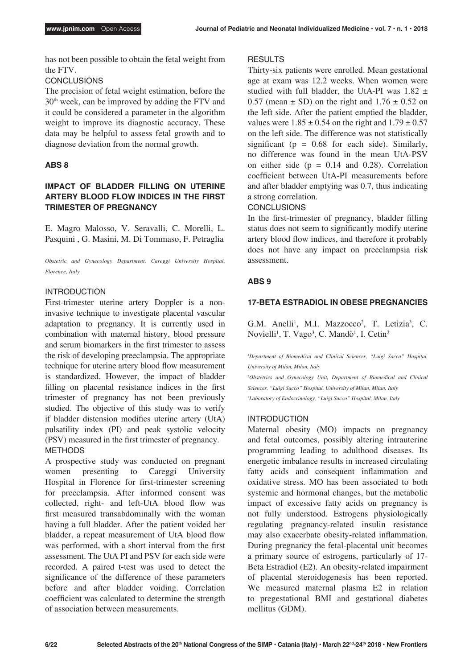has not been possible to obtain the fetal weight from the FTV.

# **CONCLUSIONS**

The precision of fetal weight estimation, before the 30th week, can be improved by adding the FTV and it could be considered a parameter in the algorithm weight to improve its diagnostic accuracy. These data may be helpful to assess fetal growth and to diagnose deviation from the normal growth.

# **ABS 8**

# **IMPACT OF BLADDER FILLING ON UTERINE ARTERY BLOOD FLOW INDICES IN THE FIRST TRIMESTER OF PREGNANCY**

E. Magro Malosso, V. Seravalli, C. Morelli, L. Pasquini , G. Masini, M. Di Tommaso, F. Petraglia

*Obstetric and Gynecology Department, Careggi University Hospital, Florence, Italy*

# INTRODUCTION

First-trimester uterine artery Doppler is a noninvasive technique to investigate placental vascular adaptation to pregnancy. It is currently used in combination with maternal history, blood pressure and serum biomarkers in the first trimester to assess the risk of developing preeclampsia. The appropriate technique for uterine artery blood flow measurement is standardized. However, the impact of bladder filling on placental resistance indices in the first trimester of pregnancy has not been previously studied. The objective of this study was to verify if bladder distension modifies uterine artery (UtA) pulsatility index (PI) and peak systolic velocity (PSV) measured in the first trimester of pregnancy. METHODS

A prospective study was conducted on pregnant women presenting to Careggi University Hospital in Florence for first-trimester screening for preeclampsia. After informed consent was collected, right- and left-UtA blood flow was first measured transabdominally with the woman having a full bladder. After the patient voided her bladder, a repeat measurement of UtA blood flow was performed, with a short interval from the first assessment. The UtA PI and PSV for each side were recorded. A paired t-test was used to detect the significance of the difference of these parameters before and after bladder voiding. Correlation coefficient was calculated to determine the strength of association between measurements.

## RESULTS

Thirty-six patients were enrolled. Mean gestational age at exam was 12.2 weeks. When women were studied with full bladder, the UtA-PI was  $1.82 \pm$ 0.57 (mean  $\pm$  SD) on the right and 1.76  $\pm$  0.52 on the left side. After the patient emptied the bladder, values were  $1.85 \pm 0.54$  on the right and  $1.79 \pm 0.57$ on the left side. The difference was not statistically significant ( $p = 0.68$  for each side). Similarly, no difference was found in the mean UtA-PSV on either side  $(p = 0.14$  and 0.28). Correlation coefficient between UtA-PI measurements before and after bladder emptying was 0.7, thus indicating a strong correlation.

# **CONCLUSIONS**

In the first-trimester of pregnancy, bladder filling status does not seem to significantly modify uterine artery blood flow indices, and therefore it probably does not have any impact on preeclampsia risk assessment.

# **ABS 9**

# **17-BETA ESTRADIOL IN OBESE PREGNANCIES**

G.M. Anelli<sup>1</sup>, M.I. Mazzocco<sup>2</sup>, T. Letizia<sup>3</sup>, C. Novielli<sup>1</sup>, T. Vago<sup>3</sup>, C. Mandò<sup>1</sup>, I. Cetin<sup>2</sup>

*1 Department of Biomedical and Clinical Sciences, "Luigi Sacco" Hospital, University of Milan, Milan, Italy* 

*2 Obstetrics and Gynecology Unit, Department of Biomedical and Clinical Sciences, "Luigi Sacco" Hospital, University of Milan, Milan, Italy 3 Laboratory of Endocrinology, "Luigi Sacco" Hospital, Milan, Italy* 

# INTRODUCTION

Maternal obesity (MO) impacts on pregnancy and fetal outcomes, possibly altering intrauterine programming leading to adulthood diseases. Its energetic imbalance results in increased circulating fatty acids and consequent inflammation and oxidative stress. MO has been associated to both systemic and hormonal changes, but the metabolic impact of excessive fatty acids on pregnancy is not fully understood. Estrogens physiologically regulating pregnancy-related insulin resistance may also exacerbate obesity-related inflammation. During pregnancy the fetal-placental unit becomes a primary source of estrogens, particularly of 17- Beta Estradiol (E2). An obesity-related impairment of placental steroidogenesis has been reported. We measured maternal plasma E2 in relation to pregestational BMI and gestational diabetes mellitus (GDM).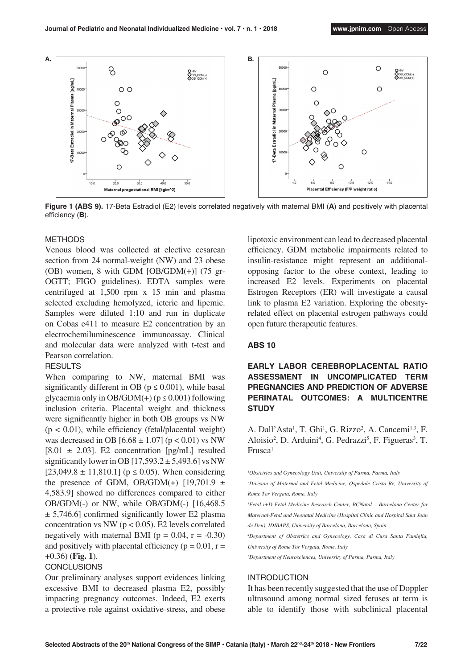

**Figure 1 (ABS 9).** 17-Beta Estradiol (E2) levels correlated negatively with maternal BMI (**A**) and positively with placental efficiency (**B**).

# METHODS

Venous blood was collected at elective cesarean section from 24 normal-weight (NW) and 23 obese (OB) women, 8 with GDM  $[OB/GDM(+)]$  (75 gr-OGTT; FIGO guidelines). EDTA samples were centrifuged at 1,500 rpm x 15 min and plasma selected excluding hemolyzed, icteric and lipemic. Samples were diluted 1:10 and run in duplicate on Cobas e411 to measure E2 concentration by an electrochemiluminescence immunoassay. Clinical and molecular data were analyzed with t-test and Pearson correlation.

# **RESULTS**

When comparing to NW, maternal BMI was significantly different in OB ( $p \le 0.001$ ), while basal glycaemia only in OB/GDM(+) ( $p \le 0.001$ ) following inclusion criteria. Placental weight and thickness were significantly higher in both OB groups vs NW  $(p < 0.01)$ , while efficiency (fetal/placental weight) was decreased in OB  $[6.68 \pm 1.07]$  (p < 0.01) vs NW  $[8.01 \pm 2.03]$ . E2 concentration  $[pg/mL]$  resulted significantly lower in OB  $[17,593.2 \pm 5,493.6]$  vs NW  $[23,049.8 \pm 11,810.1]$  ( $p \le 0.05$ ). When considering the presence of GDM, OB/GDM(+)  $[19,701.9 \pm 10.000]$ 4,583.9] showed no differences compared to either OB/GDM(-) or NW, while OB/GDM(-) [16,468.5  $\pm$  5,746.6] confirmed significantly lower E2 plasma concentration vs NW ( $p < 0.05$ ). E2 levels correlated negatively with maternal BMI ( $p = 0.04$ ,  $r = -0.30$ ) and positively with placental efficiency ( $p = 0.01$ ,  $r =$ +0.36) (**Fig. 1**).

#### **CONCLUSIONS**

Our preliminary analyses support evidences linking excessive BMI to decreased plasma E2, possibly impacting pregnancy outcomes. Indeed, E2 exerts a protective role against oxidative-stress, and obese lipotoxic environment can lead to decreased placental efficiency. GDM metabolic impairments related to insulin-resistance might represent an additionalopposing factor to the obese context, leading to increased E2 levels. Experiments on placental Estrogen Receptors (ER) will investigate a causal link to plasma E2 variation. Exploring the obesityrelated effect on placental estrogen pathways could open future therapeutic features.

#### **ABS 10**

# **EARLY LABOR CEREBROPLACENTAL RATIO ASSESSMENT IN UNCOMPLICATED TERM PREGNANCIES AND PREDICTION OF ADVERSE PERINATAL OUTCOMES: A MULTICENTRE STUDY**

A. Dall'Asta<sup>1</sup>, T. Ghi<sup>1</sup>, G. Rizzo<sup>2</sup>, A. Cancemi<sup>1,3</sup>, F. Aloisio<sup>2</sup>, D. Arduini<sup>4</sup>, G. Pedrazzi<sup>5</sup>, F. Figueras<sup>3</sup>, T. Frusca1

*1 Obstetrics and Gynecology Unit, University of Parma, Parma, Italy*

<sup>2</sup>Division of Maternal and Fetal Medicine, Ospedale Cristo Re, University of *Rome Tor Vergata, Rome, Italy*

*3 Fetal i+D Fetal Medicine Research Center, BCNatal – Barcelona Center for Maternal-Fetal and Neonatal Medicine (Hospital Clínic and Hospital Sant Joan de Deu), IDIBAPS, University of Barcelona, Barcelona, Spain*

*4 Department of Obstetrics and Gynecology, Casa di Cura Santa Famiglia, University of Rome Tor Vergata, Rome, Italy*

*5 Department of Neurosciences, University of Parma, Parma, Italy*

## INTRODUCTION

It has been recently suggested that the use of Doppler ultrasound among normal sized fetuses at term is able to identify those with subclinical placental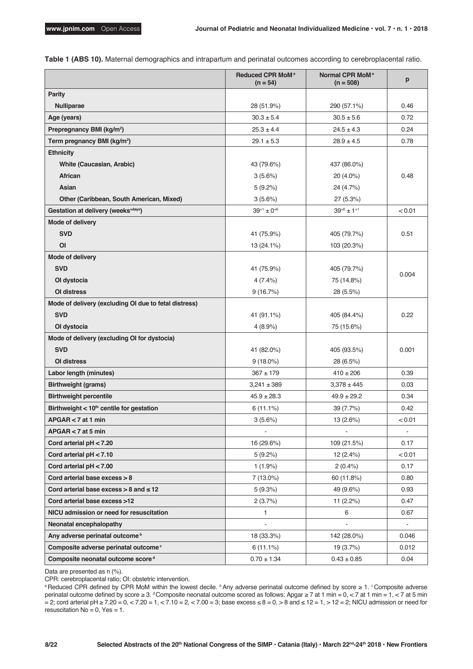|  |  |  |  |  |  |  | Table 1 (ABS 10). Maternal demographics and intrapartum and perinatal outcomes according to cerebroplacental ratio. |
|--|--|--|--|--|--|--|---------------------------------------------------------------------------------------------------------------------|
|--|--|--|--|--|--|--|---------------------------------------------------------------------------------------------------------------------|

|                                                       | Reduced CPR MoM <sup>a</sup><br>$(n = 54)$ | Normal CPR MoM <sup>a</sup><br>$(n = 508)$ | p              |
|-------------------------------------------------------|--------------------------------------------|--------------------------------------------|----------------|
| <b>Parity</b>                                         |                                            |                                            |                |
| <b>Nulliparae</b>                                     | 28 (51.9%)                                 | 290 (57.1%)                                | 0.46           |
| Age (years)                                           | $30.3 \pm 5.4$                             | $30.5 \pm 5.6$                             | 0.72           |
| Prepregnancy BMI (kg/m <sup>2</sup> )                 | $25.3 \pm 4.4$                             | $24.5 \pm 4.3$                             | 0.24           |
| Term pregnancy BMI (kg/m <sup>2</sup> )               | $29.1 \pm 5.3$                             | $28.9 \pm 4.5$                             | 0.78           |
| <b>Ethnicity</b>                                      |                                            |                                            |                |
| White (Caucasian, Arabic)                             | 43 (79.6%)                                 | 437 (86.0%)                                |                |
| <b>African</b>                                        | 3(5.6%)                                    | 20 (4.0%)                                  | 0.48           |
| Asian                                                 | 5(9.2%)                                    | 24 (4.7%)                                  |                |
| Other (Caribbean, South American, Mixed)              | 3(5.6%)                                    | 27 (5.3%)                                  |                |
| Gestation at delivery (weeks <sup>+days</sup> )       | $39^{+1} \pm 0^{+6}$                       | $39^{+6} \pm 1^{+1}$                       | < 0.01         |
| Mode of delivery                                      |                                            |                                            |                |
| <b>SVD</b>                                            | 41 (75.9%)                                 | 405 (79.7%)                                | 0.51           |
| O <sub>l</sub>                                        | 13 (24.1%)                                 | 103 (20.3%)                                |                |
| Mode of delivery                                      |                                            |                                            |                |
| <b>SVD</b>                                            | 41 (75.9%)                                 | 405 (79.7%)                                | 0.004          |
| Ol dystocia                                           | 4(7.4%                                     | 75 (14.8%)                                 |                |
| <b>OI</b> distress                                    | 9(16.7%)                                   | 28 (5.5%)                                  |                |
| Mode of delivery (excluding OI due to fetal distress) |                                            |                                            |                |
| <b>SVD</b>                                            | 41 (91.1%)                                 | 405 (84.4%)                                | 0.22           |
| Ol dystocia                                           | $4(8.9\%)$                                 | 75 (15.6%)                                 |                |
| Mode of delivery (excluding OI for dystocia)          |                                            |                                            |                |
| <b>SVD</b>                                            | 41 (82.0%)                                 | 405 (93.5%)                                | 0.001          |
| OI distress                                           | $9(18.0\%)$                                | 28 (6.5%)                                  |                |
| Labor length (minutes)                                | $367 \pm 179$                              | $410 \pm 206$                              | 0.39           |
| <b>Birthweight (grams)</b>                            | $3,241 \pm 389$                            | $3,378 \pm 445$                            | 0.03           |
| <b>Birthweight percentile</b>                         | $45.9 \pm 28.3$                            | $49.9 \pm 29.2$                            | 0.34           |
| Birthweight $< 10th$ centile for gestation            | $6(11.1\%)$                                | 39 (7.7%)                                  | 0.42           |
| APGAR < 7 at 1 min                                    | 3(5.6%)                                    | 13 (2.6%)                                  | < 0.01         |
| $APGAR < 7$ at 5 min                                  | $\overline{\phantom{a}}$                   | $\blacksquare$                             | $\blacksquare$ |
| Cord arterial pH < 7.20                               | 16 (29.6%)                                 | 109 (21.5%)                                | 0.17           |
| Cord arterial $pH < 7.10$                             | 5(9.2%)                                    | 12 (2.4%)                                  | < 0.01         |
| Cord arterial $pH < 7.00$                             | $1(1.9\%)$                                 | $2(0.4\%)$                                 | 0.17           |
| Cord arterial base excess $>8$                        | 7 (13.0%)                                  | 60 (11.8%)                                 | 0.80           |
| Cord arterial base excess $> 8$ and $\leq 12$         | 5(9.3%)                                    | 49 (9.6%)                                  | 0.93           |
| Cord arterial base excess >12                         | 2(3.7%)                                    | 11 $(2.2%)$                                | 0.47           |
| NICU admission or need for resuscitation              | 1                                          | 6                                          | 0.67           |
| Neonatal encephalopathy                               |                                            |                                            |                |
| Any adverse perinatal outcome <sup>b</sup>            | 18 (33.3%)                                 | 142 (28.0%)                                | 0.046          |
| Composite adverse perinatal outcome <sup>c</sup>      | 6 (11.1%)                                  | 19 (3.7%)                                  | 0.012          |
| Composite neonatal outcome score <sup>d</sup>         | $0.70 \pm 1.34$                            | $0.43 \pm 0.85$                            | 0.04           |

Data are presented as n (%).

CPR: cerebroplacental ratio; OI: obstetric intervention.

a Reduced CPR defined by CPR MoM within the lowest decile. bAny adverse perinatal outcome defined by score ≥ 1. °Composite adverse perinatal outcome defined by score ≥ 3. <sup>d</sup>Composite neonatal outcome scored as follows: Apgar ≥ 7 at 1 min = 0, < 7 at 1 min = 1, < 7 at 5 min  $= 2$ ; cord arterial pH  $\ge 7.20 = 0, \, < 7.20 = 1, \, < 7.10 = 2, \, < 7.00 = 3$ ; base excess  $\le 8 = 0, \, > 8$  and  $\le 12 = 1, \, > 12 = 2$ ; NICU admission or need for resuscitation  $No = 0$ ,  $Yes = 1$ .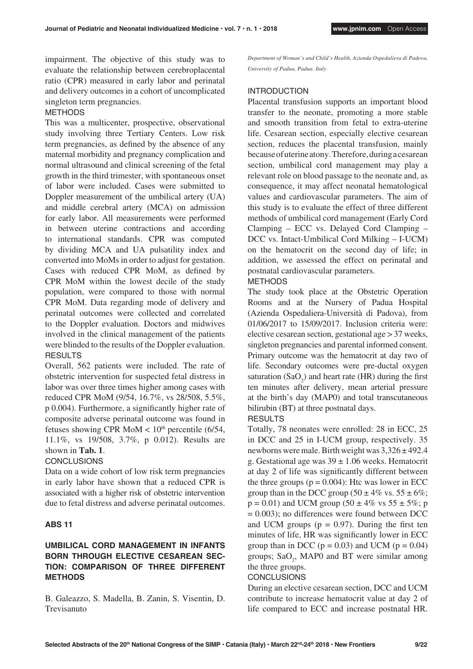impairment. The objective of this study was to evaluate the relationship between cerebroplacental ratio (CPR) measured in early labor and perinatal and delivery outcomes in a cohort of uncomplicated singleton term pregnancies.

## **METHODS**

This was a multicenter, prospective, observational study involving three Tertiary Centers. Low risk term pregnancies, as defined by the absence of any maternal morbidity and pregnancy complication and normal ultrasound and clinical screening of the fetal growth in the third trimester, with spontaneous onset of labor were included. Cases were submitted to Doppler measurement of the umbilical artery (UA) and middle cerebral artery (MCA) on admission for early labor. All measurements were performed in between uterine contractions and according to international standards. CPR was computed by dividing MCA and UA pulsatility index and converted into MoMs in order to adjust for gestation. Cases with reduced CPR MoM, as defined by CPR MoM within the lowest decile of the study population, were compared to those with normal CPR MoM. Data regarding mode of delivery and perinatal outcomes were collected and correlated to the Doppler evaluation. Doctors and midwives involved in the clinical management of the patients were blinded to the results of the Doppler evaluation. **RESULTS** 

Overall, 562 patients were included. The rate of obstetric intervention for suspected fetal distress in labor was over three times higher among cases with reduced CPR MoM (9/54, 16.7%, vs 28/508, 5.5%, p 0.004). Furthermore, a significantly higher rate of composite adverse perinatal outcome was found in fetuses showing CPR MoM  $< 10<sup>th</sup>$  percentile (6/54, 11.1%, vs 19/508, 3.7%, p 0.012). Results are shown in **Tab. 1**.

#### **CONCLUSIONS**

Data on a wide cohort of low risk term pregnancies in early labor have shown that a reduced CPR is associated with a higher risk of obstetric intervention due to fetal distress and adverse perinatal outcomes.

#### **ABS 11**

# **UMBILICAL CORD MANAGEMENT IN INFANTS BORN THROUGH ELECTIVE CESAREAN SEC-TION: COMPARISON OF THREE DIFFERENT METHODS**

B. Galeazzo, S. Madella, B. Zanin, S. Visentin, D. Trevisanuto

*Department of Woman's and Child's Health, Azienda Ospedaliera di Padova, University of Padua, Padua. Italy*

## INTRODUCTION

Placental transfusion supports an important blood transfer to the neonate, promoting a more stable and smooth transition from fetal to extra-uterine life. Cesarean section, especially elective cesarean section, reduces the placental transfusion, mainly because of uterine atony. Therefore, during a cesarean section, umbilical cord management may play a relevant role on blood passage to the neonate and, as consequence, it may affect neonatal hematological values and cardiovascular parameters. The aim of this study is to evaluate the effect of three different methods of umbilical cord management (Early Cord Clamping – ECC vs. Delayed Cord Clamping – DCC vs. Intact-Umbilical Cord Milking – I-UCM) on the hematocrit on the second day of life; in addition, we assessed the effect on perinatal and postnatal cardiovascular parameters.

# METHODS

The study took place at the Obstetric Operation Rooms and at the Nursery of Padua Hospital (Azienda Ospedaliera-Università di Padova), from 01/06/2017 to 15/09/2017. Inclusion criteria were: elective cesarean section, gestational age > 37 weeks, singleton pregnancies and parental informed consent. Primary outcome was the hematocrit at day two of life. Secondary outcomes were pre-ductal oxygen saturation  $(SaO<sub>2</sub>)$  and heart rate (HR) during the first ten minutes after delivery, mean arterial pressure at the birth's day (MAP0) and total transcutaneous bilirubin (BT) at three postnatal days.

# RESULTS

Totally, 78 neonates were enrolled: 28 in ECC, 25 in DCC and 25 in I-UCM group, respectively. 35 newborns were male. Birth weight was  $3,326 \pm 492.4$ g. Gestational age was  $39 \pm 1.06$  weeks. Hematocrit at day 2 of life was significantly different between the three groups ( $p = 0.004$ ): Htc was lower in ECC group than in the DCC group  $(50 \pm 4\% \text{ vs. } 55 \pm 6\%;$  $p = 0.01$ ) and UCM group (50  $\pm$  4% vs 55  $\pm$  5%; p  $= 0.003$ ; no differences were found between DCC and UCM groups ( $p = 0.97$ ). During the first ten minutes of life, HR was significantly lower in ECC group than in DCC ( $p = 0.03$ ) and UCM ( $p = 0.04$ ) groups;  $SaO_2$ , MAP0 and BT were similar among the three groups.

#### **CONCLUSIONS**

During an elective cesarean section, DCC and UCM contribute to increase hematocrit value at day 2 of life compared to ECC and increase postnatal HR.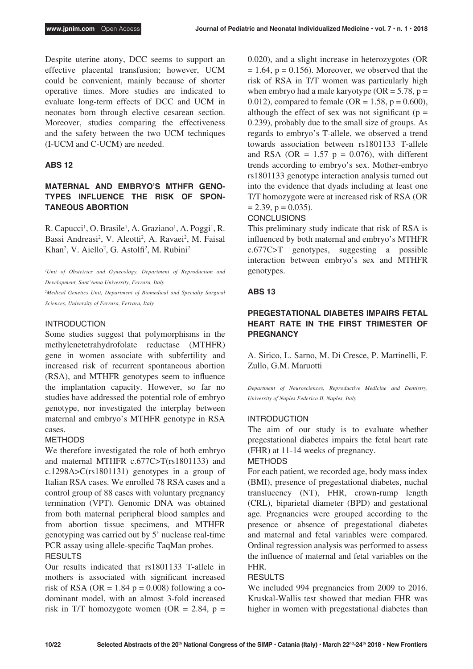Despite uterine atony, DCC seems to support an effective placental transfusion; however, UCM could be convenient, mainly because of shorter operative times. More studies are indicated to evaluate long-term effects of DCC and UCM in neonates born through elective cesarean section. Moreover, studies comparing the effectiveness and the safety between the two UCM techniques (I-UCM and C-UCM) are needed.

## **ABS 12**

# **MATERNAL AND EMBRYO'S MTHFR GENO-TYPES INFLUENCE THE RISK OF SPON-TANEOUS ABORTION**

R. Capucci<sup>1</sup>, O. Brasile<sup>1</sup>, A. Graziano<sup>1</sup>, A. Poggi<sup>1</sup>, R. Bassi Andreasi<sup>2</sup>, V. Aleotti<sup>2</sup>, A. Ravaei<sup>2</sup>, M. Faisal Khan<sup>2</sup>, V. Aiello<sup>2</sup>, G. Astolfi<sup>2</sup>, M. Rubini<sup>2</sup>

*1 Unit of Obstetrics and Gynecology, Department of Reproduction and Development, Sant'Anna University, Ferrara, Italy*

<sup>2</sup>Medical Genetics Unit, Department of Biomedical and Specialty Surgical *Sciences, University of Ferrara, Ferrara, Italy*

## INTRODUCTION

Some studies suggest that polymorphisms in the methylenetetrahydrofolate reductase (MTHFR) gene in women associate with subfertility and increased risk of recurrent spontaneous abortion (RSA), and MTHFR genotypes seem to influence the implantation capacity. However, so far no studies have addressed the potential role of embryo genotype, nor investigated the interplay between maternal and embryo's MTHFR genotype in RSA cases.

#### METHODS

We therefore investigated the role of both embryo and maternal MTHFR c.677C>T(rs1801133) and c.1298A>C(rs1801131) genotypes in a group of Italian RSA cases. We enrolled 78 RSA cases and a control group of 88 cases with voluntary pregnancy termination (VPT). Genomic DNA was obtained from both maternal peripheral blood samples and from abortion tissue specimens, and MTHFR genotyping was carried out by 5' nuclease real-time PCR assay using allele-specific TaqMan probes. **RESULTS** 

Our results indicated that rs1801133 T-allele in mothers is associated with significant increased risk of RSA (OR =  $1.84$  p = 0.008) following a codominant model, with an almost 3-fold increased risk in T/T homozygote women (OR = 2.84,  $p =$ 

0.020), and a slight increase in heterozygotes (OR  $= 1.64$ ,  $p = 0.156$ ). Moreover, we observed that the risk of RSA in T/T women was particularly high when embryo had a male karyotype ( $OR = 5.78$ ,  $p =$ 0.012), compared to female (OR =  $1.58$ , p = 0.600), although the effect of sex was not significant ( $p =$ 0.239), probably due to the small size of groups. As regards to embryo's T-allele, we observed a trend towards association between rs1801133 T-allele and RSA (OR =  $1.57$  p = 0.076), with different trends according to embryo's sex. Mother-embryo rs1801133 genotype interaction analysis turned out into the evidence that dyads including at least one T/T homozygote were at increased risk of RSA (OR  $= 2.39$ ,  $p = 0.035$ ).

## **CONCLUSIONS**

This preliminary study indicate that risk of RSA is influenced by both maternal and embryo's MTHFR c.677C>T genotypes, suggesting a possible interaction between embryo's sex and MTHFR genotypes.

## **ABS 13**

# **PREGESTATIONAL DIABETES IMPAIRS FETAL HEART RATE IN THE FIRST TRIMESTER OF PREGNANCY**

A. Sirico, L. Sarno, M. Di Cresce, P. Martinelli, F. Zullo, G.M. Maruotti

*Department of Neurosciences, Reproductive Medicine and Dentistry, University of Naples Federico II, Naples, Italy*

#### INTRODUCTION

The aim of our study is to evaluate whether pregestational diabetes impairs the fetal heart rate (FHR) at 11-14 weeks of pregnancy.

#### **METHODS**

For each patient, we recorded age, body mass index (BMI), presence of pregestational diabetes, nuchal translucency (NT), FHR, crown-rump length (CRL), biparietal diameter (BPD) and gestational age. Pregnancies were grouped according to the presence or absence of pregestational diabetes and maternal and fetal variables were compared. Ordinal regression analysis was performed to assess the influence of maternal and fetal variables on the FHR.

#### **RESULTS**

We included 994 pregnancies from 2009 to 2016. Kruskal-Wallis test showed that median FHR was higher in women with pregestational diabetes than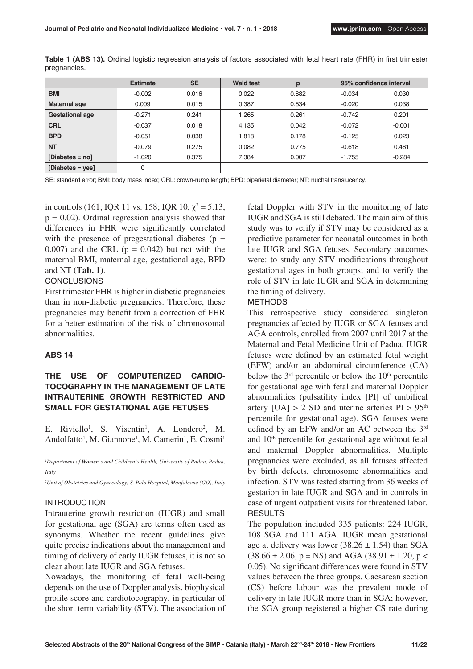|                        | <b>Estimate</b> | <b>SE</b> | <b>Wald test</b> | p     | 95% confidence interval |          |
|------------------------|-----------------|-----------|------------------|-------|-------------------------|----------|
| <b>BMI</b>             | $-0.002$        | 0.016     | 0.022            | 0.882 | $-0.034$                | 0.030    |
| Maternal age           | 0.009           | 0.015     | 0.387            | 0.534 | $-0.020$                | 0.038    |
| <b>Gestational age</b> | $-0.271$        | 0.241     | .265             | 0.261 | $-0.742$                | 0.201    |
| <b>CRL</b>             | $-0.037$        | 0.018     | 4.135            | 0.042 | $-0.072$                | $-0.001$ |
| <b>BPD</b>             | $-0.051$        | 0.038     | 1.818            | 0.178 | $-0.125$                | 0.023    |
| <b>NT</b>              | $-0.079$        | 0.275     | 0.082            | 0.775 | $-0.618$                | 0.461    |
| $[Diabetes = n0]$      | $-1.020$        | 0.375     | 7.384            | 0.007 | $-1.755$                | $-0.284$ |
| [Diabetes = $yes$ ]    | 0               |           |                  |       |                         |          |

**Table 1 (ABS 13).** Ordinal logistic regression analysis of factors associated with fetal heart rate (FHR) in first trimester pregnancies.

SE: standard error; BMI: body mass index; CRL: crown-rump length; BPD: biparietal diameter; NT: nuchal translucency.

in controls (161; IQR 11 vs. 158; IQR 10,  $\chi^2 = 5.13$ ,  $p = 0.02$ ). Ordinal regression analysis showed that differences in FHR were significantly correlated with the presence of pregestational diabetes ( $p =$ 0.007) and the CRL ( $p = 0.042$ ) but not with the maternal BMI, maternal age, gestational age, BPD and NT (**Tab. 1**).

#### **CONCLUSIONS**

First trimester FHR is higher in diabetic pregnancies than in non-diabetic pregnancies. Therefore, these pregnancies may benefit from a correction of FHR for a better estimation of the risk of chromosomal abnormalities.

# **ABS 14**

# **THE USE OF COMPUTERIZED CARDIO-TOCOGRAPHY IN THE MANAGEMENT OF LATE INTRAUTERINE GROWTH RESTRICTED AND SMALL FOR GESTATIONAL AGE FETUSES**

E. Riviello<sup>1</sup>, S. Visentin<sup>1</sup>, A. Londero<sup>2</sup>, M. Andolfatto<sup>1</sup>, M. Giannone<sup>1</sup>, M. Camerin<sup>1</sup>, E. Cosmi<sup>1</sup>

<sup>1</sup>Department of Women's and Children's Health, University of Padua, Padua, *Italy*

*2 Unit of Obstetrics and Gynecology, S. Polo Hospital, Monfalcone (GO), Italy*

# INTRODUCTION

Intrauterine growth restriction (IUGR) and small for gestational age (SGA) are terms often used as synonyms. Whether the recent guidelines give quite precise indications about the management and timing of delivery of early IUGR fetuses, it is not so clear about late IUGR and SGA fetuses.

Nowadays, the monitoring of fetal well-being depends on the use of Doppler analysis, biophysical profile score and cardiotocography, in particular of the short term variability (STV). The association of fetal Doppler with STV in the monitoring of late IUGR and SGA is still debated. The main aim of this study was to verify if STV may be considered as a predictive parameter for neonatal outcomes in both late IUGR and SGA fetuses. Secondary outcomes were: to study any STV modifications throughout gestational ages in both groups; and to verify the role of STV in late IUGR and SGA in determining the timing of delivery.

## METHODS

This retrospective study considered singleton pregnancies affected by IUGR or SGA fetuses and AGA controls, enrolled from 2007 until 2017 at the Maternal and Fetal Medicine Unit of Padua. IUGR fetuses were defined by an estimated fetal weight (EFW) and/or an abdominal circumference (CA) below the  $3<sup>rd</sup>$  percentile or below the  $10<sup>th</sup>$  percentile for gestational age with fetal and maternal Doppler abnormalities (pulsatility index [PI] of umbilical artery  $[UA] > 2$  SD and uterine arteries  $PI > 95<sup>th</sup>$ percentile for gestational age). SGA fetuses were defined by an EFW and/or an AC between the 3rd and  $10<sup>th</sup>$  percentile for gestational age without fetal and maternal Doppler abnormalities. Multiple pregnancies were excluded, as all fetuses affected by birth defects, chromosome abnormalities and infection. STV was tested starting from 36 weeks of gestation in late IUGR and SGA and in controls in case of urgent outpatient visits for threatened labor. RESULTS

The population included 335 patients: 224 IUGR, 108 SGA and 111 AGA. IUGR mean gestational age at delivery was lower (38.26  $\pm$  1.54) than SGA  $(38.66 \pm 2.06, p = NS)$  and AGA  $(38.91 \pm 1.20, p <$ 0.05). No significant differences were found in STV values between the three groups. Caesarean section (CS) before labour was the prevalent mode of delivery in late IUGR more than in SGA; however, the SGA group registered a higher CS rate during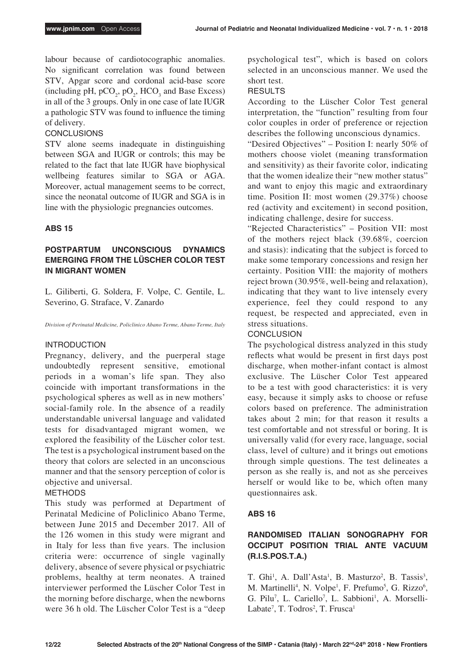labour because of cardiotocographic anomalies. No significant correlation was found between STV, Apgar score and cordonal acid-base score (including pH,  $pCO_2$ ,  $pO_2$ , HCO<sub>3</sub> and Base Excess) in all of the 3 groups. Only in one case of late IUGR a pathologic STV was found to influence the timing of delivery.

# **CONCLUSIONS**

STV alone seems inadequate in distinguishing between SGA and IUGR or controls; this may be related to the fact that late IUGR have biophysical wellbeing features similar to SGA or AGA. Moreover, actual management seems to be correct, since the neonatal outcome of IUGR and SGA is in line with the physiologic pregnancies outcomes.

# **ABS 15**

# **POSTPARTUM UNCONSCIOUS DYNAMICS EMERGING FROM THE LÜSCHER COLOR TEST IN MIGRANT WOMEN**

L. Giliberti, G. Soldera, F. Volpe, C. Gentile, L. Severino, G. Straface, V. Zanardo

*Division of Perinatal Medicine, Policlinico Abano Terme, Abano Terme, Italy*

#### INTRODUCTION

Pregnancy, delivery, and the puerperal stage undoubtedly represent sensitive, emotional periods in a woman's life span. They also coincide with important transformations in the psychological spheres as well as in new mothers' social-family role. In the absence of a readily understandable universal language and validated tests for disadvantaged migrant women, we explored the feasibility of the Lüscher color test. The test is a psychological instrument based on the theory that colors are selected in an unconscious manner and that the sensory perception of color is objective and universal.

# METHODS

This study was performed at Department of Perinatal Medicine of Policlinico Abano Terme, between June 2015 and December 2017. All of the 126 women in this study were migrant and in Italy for less than five years. The inclusion criteria were: occurrence of single vaginally delivery, absence of severe physical or psychiatric problems, healthy at term neonates. A trained interviewer performed the Lüscher Color Test in the morning before discharge, when the newborns were 36 h old. The Lüscher Color Test is a "deep psychological test", which is based on colors selected in an unconscious manner. We used the short test.

# RESULTS

According to the Lüscher Color Test general interpretation, the "function" resulting from four color couples in order of preference or rejection describes the following unconscious dynamics.

"Desired Objectives" – Position I: nearly 50% of mothers choose violet (meaning transformation and sensitivity) as their favorite color, indicating that the women idealize their "new mother status" and want to enjoy this magic and extraordinary time. Position II: most women (29.37%) choose red (activity and excitement) in second position, indicating challenge, desire for success.

"Rejected Characteristics" – Position VII: most of the mothers reject black (39.68%, coercion and stasis): indicating that the subject is forced to make some temporary concessions and resign her certainty. Position VIII: the majority of mothers reject brown (30.95%, well-being and relaxation), indicating that they want to live intensely every experience, feel they could respond to any request, be respected and appreciated, even in stress situations.

# **CONCLUSION**

The psychological distress analyzed in this study reflects what would be present in first days post discharge, when mother-infant contact is almost exclusive. The Lüscher Color Test appeared to be a test with good characteristics: it is very easy, because it simply asks to choose or refuse colors based on preference. The administration takes about 2 min; for that reason it results a test comfortable and not stressful or boring. It is universally valid (for every race, language, social class, level of culture) and it brings out emotions through simple questions. The test delineates a person as she really is, and not as she perceives herself or would like to be, which often many questionnaires ask.

# **ABS 16**

# **RANDOMISED ITALIAN SONOGRAPHY FOR OCCIPUT POSITION TRIAL ANTE VACUUM (R.I.S.POS.T.A.)**

T. Ghi<sup>1</sup>, A. Dall'Asta<sup>1</sup>, B. Masturzo<sup>2</sup>, B. Tassis<sup>3</sup>, M. Martinelli<sup>4</sup>, N. Volpe<sup>1</sup>, F. Prefumo<sup>5</sup>, G. Rizzo<sup>6</sup>, G. Pilu<sup>7</sup>, L. Cariello<sup>7</sup>, L. Sabbioni<sup>1</sup>, A. Morselli-Labate<sup>7</sup>, T. Todros<sup>2</sup>, T. Frusca<sup>1</sup>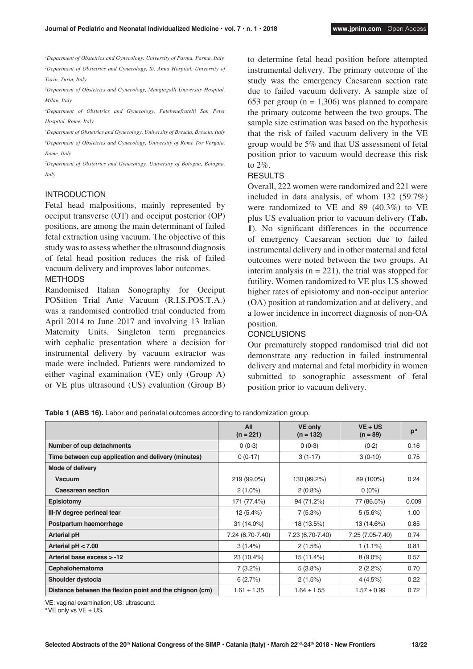*1 Department of Obstetrics and Gynecology, University of Parma, Parma, Italy* <sup>2</sup>Department of Obstetrics and Gynecology, St. Anna Hospital, University of *Turin, Turin, Italy*

*3 Department of Obstetrics and Gynecology, Mangiagalli University Hospital, Milan, Italy*

*4 Department of Obstetrics and Gynecology, Fatebenefratelli San Peter Hospital, Rome, Italy*

*5 Department of Obstetrics and Gynecology, University of Brescia, Brescia, Italy*

*6 Department of Obstetrics and Gynecology, University of Rome Tor Vergata, Rome, Italy*

*7 Department of Obstetrics and Gynecology, University of Bologna, Bologna, Italy*

#### INTRODUCTION

Fetal head malpositions, mainly represented by occiput transverse (OT) and occiput posterior (OP) positions, are among the main determinant of failed fetal extraction using vacuum. The objective of this study was to assess whether the ultrasound diagnosis of fetal head position reduces the risk of failed vacuum delivery and improves labor outcomes. METHODS

Randomised Italian Sonography for Occiput POSition Trial Ante Vacuum (R.I.S.POS.T.A.) was a randomised controlled trial conducted from April 2014 to June 2017 and involving 13 Italian Maternity Units. Singleton term pregnancies with cephalic presentation where a decision for instrumental delivery by vacuum extractor was made were included. Patients were randomized to either vaginal examination (VE) only (Group A) or VE plus ultrasound (US) evaluation (Group B)

to determine fetal head position before attempted instrumental delivery. The primary outcome of the study was the emergency Caesarean section rate due to failed vacuum delivery. A sample size of 653 per group ( $n = 1,306$ ) was planned to compare the primary outcome between the two groups. The sample size estimation was based on the hypothesis that the risk of failed vacuum delivery in the VE group would be 5% and that US assessment of fetal position prior to vacuum would decrease this risk to 2%.

#### RESULTS

Overall, 222 women were randomized and 221 were included in data analysis, of whom 132 (59.7%) were randomized to VE and 89 (40.3%) to VE plus US evaluation prior to vacuum delivery (**Tab. 1**). No significant differences in the occurrence of emergency Caesarean section due to failed instrumental delivery and in other maternal and fetal outcomes were noted between the two groups. At interim analysis ( $n = 221$ ), the trial was stopped for futility. Women randomized to VE plus US showed higher rates of episiotomy and non-occiput anterior (OA) position at randomization and at delivery, and a lower incidence in incorrect diagnosis of non-OA position.

#### **CONCLUSIONS**

Our prematurely stopped randomised trial did not demonstrate any reduction in failed instrumental delivery and maternal and fetal morbidity in women submitted to sonographic assessment of fetal position prior to vacuum delivery.

|                                                         | All<br>$(n = 221)$ | <b>VE only</b><br>$(n = 132)$ | $VE + US$<br>$(n = 89)$ | p <sup>a</sup> |
|---------------------------------------------------------|--------------------|-------------------------------|-------------------------|----------------|
| Number of cup detachments                               | $0(0-3)$           | $0(0-3)$                      | $(0-2)$                 | 0.16           |
| Time between cup application and delivery (minutes)     | $0(0-17)$          | $3(1-17)$                     | $3(0-10)$               | 0.75           |
| Mode of delivery                                        |                    |                               |                         |                |
| Vacuum                                                  | 219 (99.0%)        | 130 (99.2%)                   | 89 (100%)               | 0.24           |
| <b>Caesarean section</b>                                | $2(1.0\%)$         | $2(0.8\%)$                    | $0(0\%)$                |                |
| Episiotomy                                              | 171 (77.4%)        | 94 (71.2%)                    | 77 (86.5%)              | 0.009          |
| III-IV degree perineal tear                             | 12(5.4%)           | 7(5.3%)                       | 5(5.6%)                 | 1.00           |
| Postpartum haemorrhage                                  | 31 (14.0%)         | 18 (13.5%)                    | 13 (14.6%)              | 0.85           |
| <b>Arterial pH</b>                                      | 7.24 (6.70-7.40)   | 7.23 (6.70-7.40)              | 7.25 (7.05-7.40)        | 0.74           |
| Arterial $pH < 7.00$                                    | 3(1.4%)            | 2(1.5%)                       | $1(1.1\%)$              | 0.81           |
| Arterial base excess > -12                              | 23 (10.4%)         | 15 (11.4%)                    | $8(9.0\%)$              | 0.57           |
| Cephalohematoma                                         | 7(3.2%)            | 5(3.8%)                       | 2(2.2%)                 | 0.70           |
| Shoulder dystocia                                       | 6(2.7%)            | 2(1.5%)                       | 4(4.5%)                 | 0.22           |
| Distance between the flexion point and the chignon (cm) | $1.61 \pm 1.35$    | $1.64 \pm 1.55$               | $1.57 \pm 0.99$         | 0.72           |

**Table 1 (ABS 16).** Labor and perinatal outcomes according to randomization group.

VE: vaginal examination; US: ultrasound.

<sup>a</sup> VE only vs VE + US.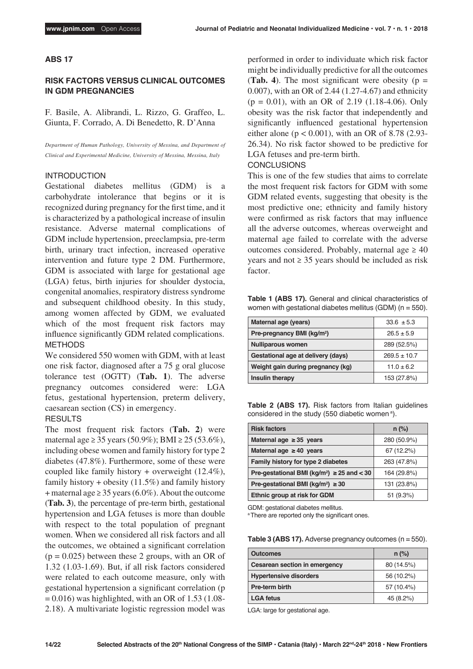# **ABS 17**

# **RISK FACTORS VERSUS CLINICAL OUTCOMES IN GDM PREGNANCIES**

F. Basile, A. Alibrandi, L. Rizzo, G. Graffeo, L. Giunta, F. Corrado, A. Di Benedetto, R. D'Anna

*Department of Human Pathology, University of Messina, and Department of Clinical and Experimental Medicine, University of Messina, Messina, Italy*

#### INTRODUCTION

Gestational diabetes mellitus (GDM) is a carbohydrate intolerance that begins or it is recognized during pregnancy for the first time, and it is characterized by a pathological increase of insulin resistance. Adverse maternal complications of GDM include hypertension, preeclampsia, pre-term birth, urinary tract infection, increased operative intervention and future type 2 DM. Furthermore, GDM is associated with large for gestational age (LGA) fetus, birth injuries for shoulder dystocia, congenital anomalies, respiratory distress syndrome and subsequent childhood obesity. In this study, among women affected by GDM, we evaluated which of the most frequent risk factors may influence significantly GDM related complications. METHODS

We considered 550 women with GDM, with at least one risk factor, diagnosed after a 75 g oral glucose tolerance test (OGTT) (**Tab. 1**). The adverse pregnancy outcomes considered were: LGA fetus, gestational hypertension, preterm delivery, caesarean section (CS) in emergency.

#### RESULTS

The most frequent risk factors (**Tab. 2**) were maternal age ≥ 35 years (50.9%); BMI ≥ 25 (53.6%), including obese women and family history for type 2 diabetes (47.8%). Furthermore, some of these were coupled like family history + overweight (12.4%), family history + obesity  $(11.5%)$  and family history + maternal age  $\ge$  35 years (6.0%). About the outcome (**Tab. 3**), the percentage of pre-term birth, gestational hypertension and LGA fetuses is more than double with respect to the total population of pregnant women. When we considered all risk factors and all the outcomes, we obtained a significant correlation  $(p = 0.025)$  between these 2 groups, with an OR of 1.32 (1.03-1.69). But, if all risk factors considered were related to each outcome measure, only with gestational hypertension a significant correlation (p  $= 0.016$ ) was highlighted, with an OR of 1.53 (1.08-2.18). A multivariate logistic regression model was

performed in order to individuate which risk factor might be individually predictive for all the outcomes (**Tab. 4**). The most significant were obesity ( $p =$ 0.007), with an OR of 2.44 (1.27-4.67) and ethnicity  $(p = 0.01)$ , with an OR of 2.19 (1.18-4.06). Only obesity was the risk factor that independently and significantly influenced gestational hypertension either alone ( $p < 0.001$ ), with an OR of 8.78 (2.93-26.34). No risk factor showed to be predictive for LGA fetuses and pre-term birth.

#### **CONCLUSIONS**

This is one of the few studies that aims to correlate the most frequent risk factors for GDM with some GDM related events, suggesting that obesity is the most predictive one; ethnicity and family history were confirmed as risk factors that may influence all the adverse outcomes, whereas overweight and maternal age failed to correlate with the adverse outcomes considered. Probably, maternal age  $\geq 40$ years and not  $\geq$  35 years should be included as risk factor.

**Table 1 (ABS 17).** General and clinical characteristics of women with gestational diabetes mellitus (GDM) (n = 550).

| Maternal age (years)                   | $33.6 \pm 5.3$   |
|----------------------------------------|------------------|
| Pre-pregnancy BMI (kg/m <sup>2</sup> ) | $26.5 \pm 5.9$   |
| <b>Nulliparous women</b>               | 289 (52.5%)      |
| Gestational age at delivery (days)     | $269.5 \pm 10.7$ |
| Weight gain during pregnancy (kg)      | $11.0 \pm 6.2$   |
| Insulin therapy                        | 153 (27.8%)      |

**Table 2 (ABS 17).** Risk factors from Italian guidelines considered in the study (550 diabetic women a).

| <b>Risk factors</b>                                         | $n$ (%)     |
|-------------------------------------------------------------|-------------|
| Maternal age $\geq$ 35 years                                | 280 (50.9%) |
| Maternal age $\geq 40$ years                                | 67 (12.2%)  |
| Family history for type 2 diabetes                          | 263 (47.8%) |
| Pre-gestational BMI (kg/m <sup>2</sup> ) $\geq$ 25 and < 30 | 164 (29.8%) |
| Pre-gestational BMI (kg/m <sup>2</sup> ) $\geq$ 30          | 131 (23.8%) |
| Ethnic group at risk for GDM                                | 51(9.3%)    |

GDM: gestational diabetes mellitus.

<sup>a</sup>There are reported only the significant ones.

**Table 3 (ABS 17).** Adverse pregnancy outcomes (n = 550).

| <b>Outcomes</b>               | $n$ (%)    |
|-------------------------------|------------|
| Cesarean section in emergency | 80 (14.5%) |
| <b>Hypertensive disorders</b> | 56 (10.2%) |
| Pre-term birth                | 57 (10.4%) |
| <b>LGA fetus</b>              | 45 (8.2%)  |

LGA: large for gestational age.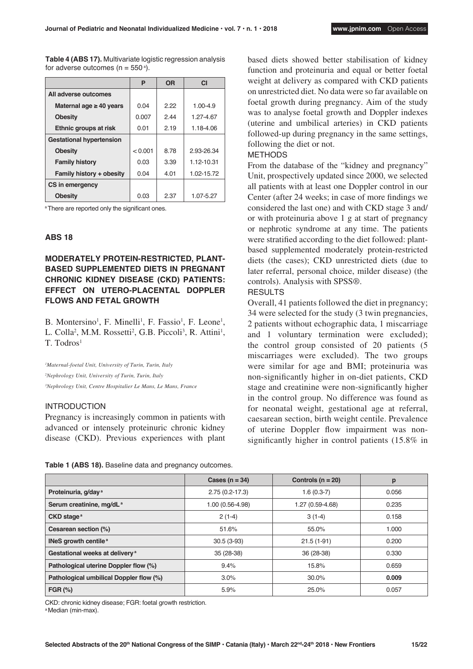**Table 4 (ABS 17).** Multivariate logistic regression analysis for adverse outcomes (n = 550  $^{\circ}$ ).

|                                 | P       | <b>OR</b> | C1           |
|---------------------------------|---------|-----------|--------------|
| All adverse outcomes            |         |           |              |
| Maternal age $\geq 40$ years    | 0.04    | 222       | $1.00 - 4.9$ |
| <b>Obesity</b>                  | 0.007   | 2.44      | 1 27-4 67    |
| Ethnic groups at risk           | 0.01    | 2.19      | 1.18-4.06    |
| <b>Gestational hypertension</b> |         |           |              |
| <b>Obesity</b>                  | < 0.001 | 8.78      | 2.93-26.34   |
| <b>Family history</b>           | 0.03    | 3.39      | 1 12-10 31   |
| Family history + obesity        | 0.04    | 4.01      | 1.02-15.72   |
| CS in emergency                 |         |           |              |
| <b>Obesity</b>                  | 0.03    | 2.37      | 1.07-5.27    |

a There are reported only the significant ones.

#### **ABS 18**

# **MODERATELY PROTEIN-RESTRICTED, PLANT-BASED SUPPLEMENTED DIETS IN PREGNANT CHRONIC KIDNEY DISEASE (CKD) PATIENTS: EFFECT ON UTERO-PLACENTAL DOPPLER FLOWS AND FETAL GROWTH**

B. Montersino<sup>1</sup>, F. Minelli<sup>1</sup>, F. Fassio<sup>1</sup>, F. Leone<sup>1</sup>, L. Colla<sup>2</sup>, M.M. Rossetti<sup>2</sup>, G.B. Piccoli<sup>3</sup>, R. Attini<sup>1</sup>, T. Todros<sup>1</sup>

*1 Maternal-foetal Unit, University of Turin, Turin, Italy 2 Nephrology Unit, University of Turin, Turin, Italy 3 Nephrology Unit, Centre Hospitalier Le Mans, Le Mans, France*

# INTRODUCTION

Pregnancy is increasingly common in patients with advanced or intensely proteinuric chronic kidney disease (CKD). Previous experiences with plant

**Table 1 (ABS 18).** Baseline data and pregnancy outcomes.

based diets showed better stabilisation of kidney function and proteinuria and equal or better foetal weight at delivery as compared with CKD patients on unrestricted diet. No data were so far available on foetal growth during pregnancy. Aim of the study was to analyse foetal growth and Doppler indexes (uterine and umbilical arteries) in CKD patients followed-up during pregnancy in the same settings, following the diet or not.

#### METHODS

From the database of the "kidney and pregnancy" Unit, prospectively updated since 2000, we selected all patients with at least one Doppler control in our Center (after 24 weeks; in case of more findings we considered the last one) and with CKD stage 3 and/ or with proteinuria above 1 g at start of pregnancy or nephrotic syndrome at any time. The patients were stratified according to the diet followed: plantbased supplemented moderately protein-restricted diets (the cases); CKD unrestricted diets (due to later referral, personal choice, milder disease) (the controls). Analysis with SPSS®.

#### **RESULTS**

Overall, 41 patients followed the diet in pregnancy; 34 were selected for the study (3 twin pregnancies, 2 patients without echographic data, 1 miscarriage and 1 voluntary termination were excluded); the control group consisted of 20 patients (5 miscarriages were excluded). The two groups were similar for age and BMI; proteinuria was non-significantly higher in on-diet patients, CKD stage and creatinine were non-significantly higher in the control group. No difference was found as for neonatal weight, gestational age at referral, caesarean section, birth weight centile. Prevalence of uterine Doppler flow impairment was nonsignificantly higher in control patients (15.8% in

|                                            | Cases ( $n = 34$ ) | Controls ( $n = 20$ ) | p     |
|--------------------------------------------|--------------------|-----------------------|-------|
| Proteinuria, g/day <sup>a</sup>            | $2.75(0.2 - 17.3)$ | $1.6(0.3-7)$          | 0.056 |
| Serum creatinine, mg/dL <sup>a</sup>       | 1.00 (0.56-4.98)   | 1.27 (0.59-4.68)      | 0.235 |
| CKD stage <sup>a</sup>                     | $2(1-4)$           | $3(1-4)$              | 0.158 |
| Cesarean section (%)                       | 51.6%              | 55.0%                 | 1.000 |
| INeS growth centile <sup>a</sup>           | $30.5(3-93)$       | $21.5(1-91)$          | 0.200 |
| Gestational weeks at delivery <sup>a</sup> | $35(28-38)$        | 36 (28-38)            | 0.330 |
| Pathological uterine Doppler flow (%)      | 9.4%               | 15.8%                 | 0.659 |
| Pathological umbilical Doppler flow (%)    | 3.0%               | 30.0%                 | 0.009 |
| $FGR$ $%$                                  | 5.9%               | 25.0%                 | 0.057 |

CKD: chronic kidney disease; FGR: foetal growth restriction.

a Median (min-max).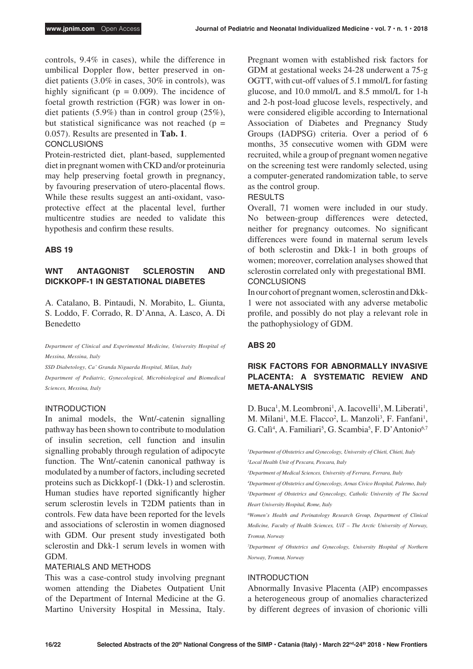controls, 9.4% in cases), while the difference in umbilical Doppler flow, better preserved in ondiet patients (3.0% in cases, 30% in controls), was highly significant ( $p = 0.009$ ). The incidence of foetal growth restriction (FGR) was lower in ondiet patients (5.9%) than in control group (25%), but statistical significance was not reached  $(p =$ 0.057). Results are presented in **Tab. 1**.

# **CONCLUSIONS**

Protein-restricted diet, plant-based, supplemented diet in pregnant women with CKD and/or proteinuria may help preserving foetal growth in pregnancy, by favouring preservation of utero-placental flows. While these results suggest an anti-oxidant, vasoprotective effect at the placental level, further multicentre studies are needed to validate this hypothesis and confirm these results.

## **ABS 19**

# **WNT ANTAGONIST SCLEROSTIN AND DICKKOPF-1 IN GESTATIONAL DIABETES**

A. Catalano, B. Pintaudi, N. Morabito, L. Giunta, S. Loddo, F. Corrado, R. D'Anna, A. Lasco, A. Di Benedetto

*Department of Clinical and Experimental Medicine, University Hospital of Messina, Messina, Italy* 

*SSD Diabetology, Ca' Granda Niguarda Hospital, Milan, Italy Department of Pediatric, Gynecological, Microbiological and Biomedical Sciences, Messina, Italy*

# INTRODUCTION

In animal models, the Wnt/-catenin signalling pathway has been shown to contribute to modulation of insulin secretion, cell function and insulin signalling probably through regulation of adipocyte function. The Wnt/-catenin canonical pathway is modulated by a number of factors, including secreted proteins such as Dickkopf-1 (Dkk-1) and sclerostin. Human studies have reported significantly higher serum sclerostin levels in T2DM patients than in controls. Few data have been reported for the levels and associations of sclerostin in women diagnosed with GDM. Our present study investigated both sclerostin and Dkk-1 serum levels in women with GDM.

#### MATERIALS AND METHODS

This was a case-control study involving pregnant women attending the Diabetes Outpatient Unit of the Department of Internal Medicine at the G. Martino University Hospital in Messina, Italy. Pregnant women with established risk factors for GDM at gestational weeks 24-28 underwent a 75-g OGTT, with cut-off values of 5.1 mmol/L for fasting glucose, and 10.0 mmol/L and 8.5 mmol/L for 1-h and 2-h post-load glucose levels, respectively, and were considered eligible according to International Association of Diabetes and Pregnancy Study Groups (IADPSG) criteria. Over a period of 6 months, 35 consecutive women with GDM were recruited, while a group of pregnant women negative on the screening test were randomly selected, using a computer-generated randomization table, to serve as the control group.

# RESULTS

Overall, 71 women were included in our study. No between-group differences were detected, neither for pregnancy outcomes. No significant differences were found in maternal serum levels of both sclerostin and Dkk-1 in both groups of women; moreover, correlation analyses showed that sclerostin correlated only with pregestational BMI. **CONCLUSIONS** 

In our cohort of pregnant women, sclerostin and Dkk-1 were not associated with any adverse metabolic profile, and possibly do not play a relevant role in the pathophysiology of GDM.

# **ABS 20**

# **RISK FACTORS FOR ABNORMALLY INVASIVE PLACENTA: A SYSTEMATIC REVIEW AND META-ANALYSIS**

D. Buca<sup>1</sup>, M. Leombroni<sup>1</sup>, A. Iacovelli<sup>1</sup>, M. Liberati<sup>1</sup>, M. Milani<sup>1</sup>, M.E. Flacco<sup>2</sup>, L. Manzoli<sup>3</sup>, F. Fanfani<sup>1</sup>, G. Calì<sup>4</sup>, A. Familiari<sup>5</sup>, G. Scambia<sup>5</sup>, F. D'Antonio<sup>6,7</sup>

*1 Department of Obstetrics and Gynecology, University of Chieti, Chieti, Italy 2 Local Health Unit of Pescara, Pescara, Italy*

*3 Department of Medical Sciences, University of Ferrara, Ferrara, Italy*

*4 Department of Obstetrics and Gynecology, Arnas Civico Hospital, Palermo, Italy 5 Department of Obstetrics and Gynecology, Catholic University of The Sacred Heart University Hospital, Rome, Italy*

*6 Women's Health and Perinatology Research Group, Department of Clinical Medicine, Faculty of Health Sciences, UiT – The Arctic University of Norway, Tromsø, Norway*

*7 Department of Obstetrics and Gynecology, University Hospital of Northern Norway, Tromsø, Norway*

#### INTRODUCTION

Abnormally Invasive Placenta (AIP) encompasses a heterogeneous group of anomalies characterized by different degrees of invasion of chorionic villi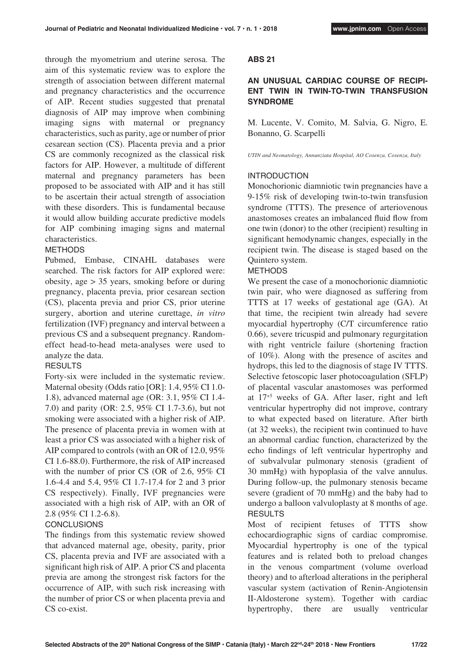through the myometrium and uterine serosa. The aim of this systematic review was to explore the strength of association between different maternal and pregnancy characteristics and the occurrence of AIP. Recent studies suggested that prenatal diagnosis of AIP may improve when combining imaging signs with maternal or pregnancy characteristics, such as parity, age or number of prior cesarean section (CS). Placenta previa and a prior CS are commonly recognized as the classical risk factors for AIP. However, a multitude of different maternal and pregnancy parameters has been proposed to be associated with AIP and it has still to be ascertain their actual strength of association with these disorders. This is fundamental because it would allow building accurate predictive models for AIP combining imaging signs and maternal characteristics.

# METHODS

Pubmed, Embase, CINAHL databases were searched. The risk factors for AIP explored were: obesity, age > 35 years, smoking before or during pregnancy, placenta previa, prior cesarean section (CS), placenta previa and prior CS, prior uterine surgery, abortion and uterine curettage, *in vitro* fertilization (IVF) pregnancy and interval between a previous CS and a subsequent pregnancy. Randomeffect head-to-head meta-analyses were used to analyze the data.

# **RESULTS**

Forty-six were included in the systematic review. Maternal obesity (Odds ratio [OR]: 1.4, 95% CI 1.0- 1.8), advanced maternal age (OR: 3.1, 95% CI 1.4- 7.0) and parity (OR: 2.5, 95% CI 1.7-3.6), but not smoking were associated with a higher risk of AIP. The presence of placenta previa in women with at least a prior CS was associated with a higher risk of AIP compared to controls (with an OR of 12.0, 95% CI 1.6-88.0). Furthermore, the risk of AIP increased with the number of prior CS (OR of 2.6, 95% CI 1.6-4.4 and 5.4, 95% CI 1.7-17.4 for 2 and 3 prior CS respectively). Finally, IVF pregnancies were associated with a high risk of AIP, with an OR of 2.8 (95% CI 1.2-6.8).

# **CONCLUSIONS**

The findings from this systematic review showed that advanced maternal age, obesity, parity, prior CS, placenta previa and IVF are associated with a significant high risk of AIP. A prior CS and placenta previa are among the strongest risk factors for the occurrence of AIP, with such risk increasing with the number of prior CS or when placenta previa and CS co-exist.

# **ABS 21**

# **AN UNUSUAL CARDIAC COURSE OF RECIPI-ENT TWIN IN TWIN-TO-TWIN TRANSFUSION SYNDROME**

M. Lucente, V. Comito, M. Salvia, G. Nigro, E. Bonanno, G. Scarpelli

#### *UTIN and Neonatology, Annunziata Hospital, AO Cosenza, Cosenza, Italy*

# INTRODUCTION

Monochorionic diamniotic twin pregnancies have a 9-15% risk of developing twin-to-twin transfusion syndrome (TTTS). The presence of arteriovenous anastomoses creates an imbalanced fluid flow from one twin (donor) to the other (recipient) resulting in significant hemodynamic changes, especially in the recipient twin. The disease is staged based on the Quintero system.

# **METHODS**

We present the case of a monochorionic diamniotic twin pair, who were diagnosed as suffering from TTTS at 17 weeks of gestational age (GA). At that time, the recipient twin already had severe myocardial hypertrophy (C/T circumference ratio 0.66), severe tricuspid and pulmonary regurgitation with right ventricle failure (shortening fraction of 10%). Along with the presence of ascites and hydrops, this led to the diagnosis of stage IV TTTS. Selective fetoscopic laser photocoagulation (SFLP) of placental vascular anastomoses was performed at 17+5 weeks of GA. After laser, right and left ventricular hypertrophy did not improve, contrary to what expected based on literature. After birth (at 32 weeks), the recipient twin continued to have an abnormal cardiac function, characterized by the echo findings of left ventricular hypertrophy and of subvalvular pulmonary stenosis (gradient of 30 mmHg) with hypoplasia of the valve annulus. During follow-up, the pulmonary stenosis became severe (gradient of 70 mmHg) and the baby had to undergo a balloon valvuloplasty at 8 months of age. RESULTS

Most of recipient fetuses of TTTS show echocardiographic signs of cardiac compromise. Myocardial hypertrophy is one of the typical features and is related both to preload changes in the venous compartment (volume overload theory) and to afterload alterations in the peripheral vascular system (activation of Renin-Angiotensin II-Aldosterone system). Together with cardiac hypertrophy, there are usually ventricular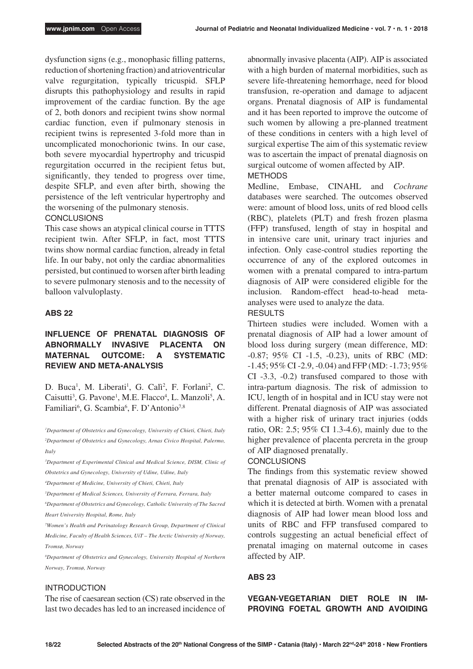dysfunction signs (e.g., monophasic filling patterns, reduction of shortening fraction) and atrioventricular valve regurgitation, typically tricuspid. SFLP disrupts this pathophysiology and results in rapid improvement of the cardiac function. By the age of 2, both donors and recipient twins show normal cardiac function, even if pulmonary stenosis in recipient twins is represented 3-fold more than in uncomplicated monochorionic twins. In our case, both severe myocardial hypertrophy and tricuspid regurgitation occurred in the recipient fetus but, significantly, they tended to progress over time, despite SFLP, and even after birth, showing the persistence of the left ventricular hypertrophy and the worsening of the pulmonary stenosis.

## **CONCLUSIONS**

This case shows an atypical clinical course in TTTS recipient twin. After SFLP, in fact, most TTTS twins show normal cardiac function, already in fetal life. In our baby, not only the cardiac abnormalities persisted, but continued to worsen after birth leading to severe pulmonary stenosis and to the necessity of balloon valvuloplasty.

## **ABS 22**

# **INFLUENCE OF PRENATAL DIAGNOSIS OF ABNORMALLY INVASIVE PLACENTA ON MATERNAL OUTCOME: A SYSTEMATIC REVIEW AND META-ANALYSIS**

D. Buca<sup>1</sup>, M. Liberati<sup>1</sup>, G. Calì<sup>2</sup>, F. Forlani<sup>2</sup>, C. Caisutti<sup>3</sup>, G. Pavone<sup>1</sup>, M.E. Flacco<sup>4</sup>, L. Manzoli<sup>5</sup>, A. Familiari<sup>6</sup>, G. Scambia<sup>6</sup>, F. D'Antonio<sup>7,8</sup>

*1 Department of Obstetrics and Gynecology, University of Chieti, Chieti, Italy 2 Department of Obstetrics and Gynecology, Arnas Civico Hospital, Palermo, Italy*

<sup>3</sup>Department of Experimental Clinical and Medical Science, DISM, Clinic of *Obstetrics and Gynecology, University of Udine, Udine, Italy*

*4 Department of Medicine, University of Chieti, Chieti, Italy*

*5 Department of Medical Sciences, University of Ferrara, Ferrara, Italy*

*6 Department of Obstetrics and Gynecology, Catholic University of The Sacred Heart University Hospital, Rome, Italy*

*7 Women's Health and Perinatology Research Group, Department of Clinical Medicine, Faculty of Health Sciences, UiT – The Arctic University of Norway, Tromsø, Norway*

*8 Department of Obstetrics and Gynecology, University Hospital of Northern Norway, Tromsø, Norway*

## INTRODUCTION

The rise of caesarean section (CS) rate observed in the last two decades has led to an increased incidence of abnormally invasive placenta (AIP). AIP is associated with a high burden of maternal morbidities, such as severe life-threatening hemorrhage, need for blood transfusion, re-operation and damage to adjacent organs. Prenatal diagnosis of AIP is fundamental and it has been reported to improve the outcome of such women by allowing a pre-planned treatment of these conditions in centers with a high level of surgical expertise The aim of this systematic review was to ascertain the impact of prenatal diagnosis on surgical outcome of women affected by AIP. METHODS

# Medline, Embase, CINAHL and *Cochrane* databases were searched. The outcomes observed were: amount of blood loss, units of red blood cells (RBC), platelets (PLT) and fresh frozen plasma (FFP) transfused, length of stay in hospital and in intensive care unit, urinary tract injuries and infection. Only case-control studies reporting the occurrence of any of the explored outcomes in women with a prenatal compared to intra-partum diagnosis of AIP were considered eligible for the inclusion. Random-effect head-to-head metaanalyses were used to analyze the data.

**RESULTS** 

Thirteen studies were included. Women with a prenatal diagnosis of AIP had a lower amount of blood loss during surgery (mean difference, MD: -0.87; 95% CI -1.5, -0.23), units of RBC (MD: -1.45; 95% CI -2.9, -0.04) and FFP (MD: -1.73; 95% CI -3.3, -0.2) transfused compared to those with intra-partum diagnosis. The risk of admission to ICU, length of in hospital and in ICU stay were not different. Prenatal diagnosis of AIP was associated with a higher risk of urinary tract injuries (odds ratio, OR: 2.5; 95% CI 1.3-4.6), mainly due to the higher prevalence of placenta percreta in the group of AIP diagnosed prenatally.

#### **CONCLUSIONS**

The findings from this systematic review showed that prenatal diagnosis of AIP is associated with a better maternal outcome compared to cases in which it is detected at birth. Women with a prenatal diagnosis of AIP had lower mean blood loss and units of RBC and FFP transfused compared to controls suggesting an actual beneficial effect of prenatal imaging on maternal outcome in cases affected by AIP.

#### **ABS 23**

**VEGAN-VEGETARIAN DIET ROLE IN IM-PROVING FOETAL GROWTH AND AVOIDING**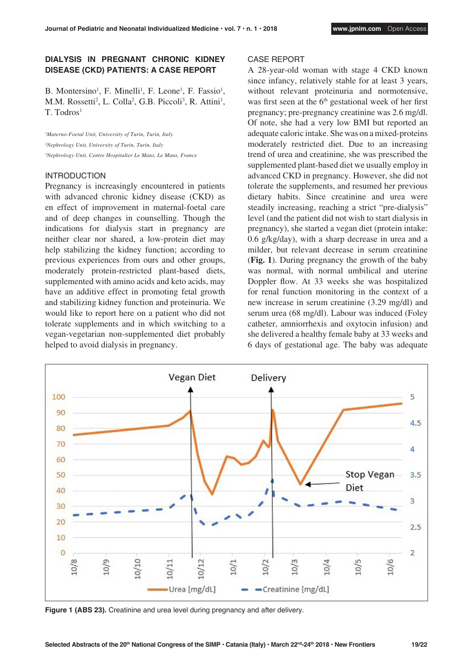# **DIALYSIS IN PREGNANT CHRONIC KIDNEY DISEASE (CKD) PATIENTS: A CASE REPORT**

B. Montersino<sup>1</sup>, F. Minelli<sup>1</sup>, F. Leone<sup>1</sup>, F. Fassio<sup>1</sup>, M.M. Rossetti<sup>2</sup>, L. Colla<sup>2</sup>, G.B. Piccoli<sup>3</sup>, R. Attini<sup>1</sup>, T. Todros<sup>1</sup>

*1 Materno-Foetal Unit, University of Turin, Turin, Italy 2 Nephrology Unit, University of Turin, Turin, Italy 3 Nephrology Unit, Centre Hospitalier Le Mans, Le Mans, France*

#### INTRODUCTION

Pregnancy is increasingly encountered in patients with advanced chronic kidney disease (CKD) as en effect of improvement in maternal-foetal care and of deep changes in counselling. Though the indications for dialysis start in pregnancy are neither clear nor shared, a low-protein diet may help stabilizing the kidney function; according to previous experiences from ours and other groups, moderately protein-restricted plant-based diets, supplemented with amino acids and keto acids, may have an additive effect in promoting fetal growth and stabilizing kidney function and proteinuria. We would like to report here on a patient who did not tolerate supplements and in which switching to a vegan-vegetarian non-supplemented diet probably helped to avoid dialysis in pregnancy.

## CASE REPORT

A 28-year-old woman with stage 4 CKD known since infancy, relatively stable for at least 3 years, without relevant proteinuria and normotensive, was first seen at the  $6<sup>th</sup>$  gestational week of her first pregnancy; pre-pregnancy creatinine was 2.6 mg/dl. Of note, she had a very low BMI but reported an adequate caloric intake. She was on a mixed-proteins moderately restricted diet. Due to an increasing trend of urea and creatinine, she was prescribed the supplemented plant-based diet we usually employ in advanced CKD in pregnancy. However, she did not tolerate the supplements, and resumed her previous dietary habits. Since creatinine and urea were steadily increasing, reaching a strict "pre-dialysis" level (and the patient did not wish to start dialysis in pregnancy), she started a vegan diet (protein intake: 0.6 g/kg/day), with a sharp decrease in urea and a milder, but relevant decrease in serum creatinine (**Fig. 1**). During pregnancy the growth of the baby was normal, with normal umbilical and uterine Doppler flow. At 33 weeks she was hospitalized for renal function monitoring in the context of a new increase in serum creatinine (3.29 mg/dl) and serum urea (68 mg/dl). Labour was induced (Foley catheter, amniorrhexis and oxytocin infusion) and she delivered a healthy female baby at 33 weeks and 6 days of gestational age. The baby was adequate



**Figure 1 (ABS 23).** Creatinine and urea level during pregnancy and after delivery.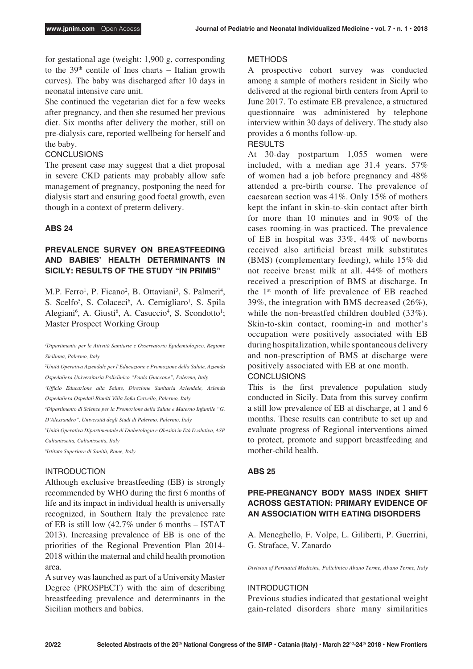for gestational age (weight: 1,900 g, corresponding to the  $39<sup>th</sup>$  centile of Ines charts – Italian growth curves). The baby was discharged after 10 days in neonatal intensive care unit.

She continued the vegetarian diet for a few weeks after pregnancy, and then she resumed her previous diet. Six months after delivery the mother, still on pre-dialysis care, reported wellbeing for herself and the baby.

# **CONCLUSIONS**

The present case may suggest that a diet proposal in severe CKD patients may probably allow safe management of pregnancy, postponing the need for dialysis start and ensuring good foetal growth, even though in a context of preterm delivery.

# **ABS 24**

# **PREVALENCE SURVEY ON BREASTFEEDING AND BABIES' HEALTH DETERMINANTS IN SICILY: RESULTS OF THE STUDY "IN PRIMIS"**

M.P. Ferro<sup>1</sup>, P. Ficano<sup>2</sup>, B. Ottaviani<sup>3</sup>, S. Palmeri<sup>4</sup>, S. Scelfo<sup>5</sup>, S. Colaceci<sup>6</sup>, A. Cernigliaro<sup>1</sup>, S. Spila Alegiani<sup>6</sup>, A. Giusti<sup>6</sup>, A. Casuccio<sup>4</sup>, S. Scondotto<sup>1</sup>; Master Prospect Working Group

<sup>1</sup>Dipartimento per le Attività Sanitarie e Osservatorio Epidemiologico, Regione *Siciliana, Palermo, Italy*

*2 Unità Operativa Aziendale per l'Educazione e Promozione della Salute, Azienda Ospedaliera Universitaria Policlinico "Paolo Giaccone", Palermo, Italy*

*3 Ufficio Educazione alla Salute, Direzione Sanitaria Aziendale, Azienda Ospedaliera Ospedali Riuniti Villa Sofia Cervello, Palermo, Italy*

*4 Dipartimento di Scienze per la Promozione della Salute e Materno Infantile "G. D'Alessandro", Università degli Studi di Palermo, Palermo, Italy*

*5 Unità Operativa Dipartimentale di Diabetologia e Obesità in Età Evolutiva, ASP Caltanissetta, Caltanissetta, Italy*

*6 Istituto Superiore di Sanità, Rome, Italy*

# INTRODUCTION

Although exclusive breastfeeding (EB) is strongly recommended by WHO during the first 6 months of life and its impact in individual health is universally recognized, in Southern Italy the prevalence rate of EB is still low (42.7% under 6 months – ISTAT 2013). Increasing prevalence of EB is one of the priorities of the Regional Prevention Plan 2014- 2018 within the maternal and child health promotion area.

A survey was launched as part of a University Master Degree (PROSPECT) with the aim of describing breastfeeding prevalence and determinants in the Sicilian mothers and babies.

#### **METHODS**

A prospective cohort survey was conducted among a sample of mothers resident in Sicily who delivered at the regional birth centers from April to June 2017. To estimate EB prevalence, a structured questionnaire was administered by telephone interview within 30 days of delivery. The study also provides a 6 months follow-up.

#### **RESULTS**

At 30-day postpartum 1,055 women were included, with a median age 31.4 years. 57% of women had a job before pregnancy and 48% attended a pre-birth course. The prevalence of caesarean section was 41%. Only 15% of mothers kept the infant in skin-to-skin contact after birth for more than 10 minutes and in 90% of the cases rooming-in was practiced. The prevalence of EB in hospital was 33%, 44% of newborns received also artificial breast milk substitutes (BMS) (complementary feeding), while 15% did not receive breast milk at all. 44% of mothers received a prescription of BMS at discharge. In the 1st month of life prevalence of EB reached 39%, the integration with BMS decreased (26%), while the non-breastfed children doubled (33%). Skin-to-skin contact, rooming-in and mother's occupation were positively associated with EB during hospitalization, while spontaneous delivery and non-prescription of BMS at discharge were positively associated with EB at one month.

# **CONCLUSIONS**

This is the first prevalence population study conducted in Sicily. Data from this survey confirm a still low prevalence of EB at discharge, at 1 and 6 months. These results can contribute to set up and evaluate progress of Regional interventions aimed to protect, promote and support breastfeeding and mother-child health.

# **ABS 25**

# **PRE-PREGNANCY BODY MASS INDEX SHIFT ACROSS GESTATION: PRIMARY EVIDENCE OF AN ASSOCIATION WITH EATING DISORDERS**

A. Meneghello, F. Volpe, L. Giliberti, P. Guerrini, G. Straface, V. Zanardo

*Division of Perinatal Medicine, Policlinico Abano Terme, Abano Terme, Italy*

#### **INTRODUCTION**

Previous studies indicated that gestational weight gain-related disorders share many similarities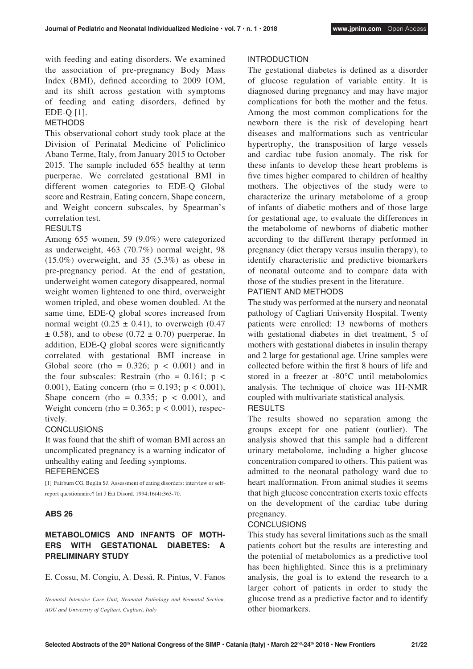with feeding and eating disorders. We examined the association of pre-pregnancy Body Mass Index (BMI), defined according to 2009 IOM, and its shift across gestation with symptoms of feeding and eating disorders, defined by EDE-Q [1].

## METHODS

This observational cohort study took place at the Division of Perinatal Medicine of Policlinico Abano Terme, Italy, from January 2015 to October 2015. The sample included 655 healthy at term puerperae. We correlated gestational BMI in different women categories to EDE-Q Global score and Restrain, Eating concern, Shape concern, and Weight concern subscales, by Spearman's correlation test.

# **RESULTS**

Among 655 women, 59 (9.0%) were categorized as underweight, 463 (70.7%) normal weight, 98 (15.0%) overweight, and 35 (5.3%) as obese in pre-pregnancy period. At the end of gestation, underweight women category disappeared, normal weight women lightened to one third, overweight women tripled, and obese women doubled. At the same time, EDE-Q global scores increased from normal weight  $(0.25 \pm 0.41)$ , to overweigh  $(0.47$  $\pm$  0.58), and to obese (0.72  $\pm$  0.70) puerperae. In addition, EDE-Q global scores were significantly correlated with gestational BMI increase in Global score (rho =  $0.326$ ; p <  $0.001$ ) and in the four subscales: Restrain (rho =  $0.161$ ; p < 0.001), Eating concern (rho =  $0.193$ ; p <  $0.001$ ), Shape concern (rho =  $0.335$ ; p <  $0.001$ ), and Weight concern (rho =  $0.365$ ; p <  $0.001$ ), respectively.

#### **CONCLUSIONS**

It was found that the shift of woman BMI across an uncomplicated pregnancy is a warning indicator of unhealthy eating and feeding symptoms. **REFERENCES** 

[1] Fairburn CG, Beglin SJ. Assessment of eating disorders: interview or selfreport questionnaire? Int J Eat Disord. 1994;16(4):363-70.

## **ABS 26**

# **METABOLOMICS AND INFANTS OF MOTH-ERS WITH GESTATIONAL DIABETES: A PRELIMINARY STUDY**

E. Cossu, M. Congiu, A. Dessì, R. Pintus, V. Fanos

*Neonatal Intensive Care Unit, Neonatal Pathology and Neonatal Section, AOU and University of Cagliari, Cagliari, Italy*

#### INTRODUCTION

The gestational diabetes is defined as a disorder of glucose regulation of variable entity. It is diagnosed during pregnancy and may have major complications for both the mother and the fetus. Among the most common complications for the newborn there is the risk of developing heart diseases and malformations such as ventricular hypertrophy, the transposition of large vessels and cardiac tube fusion anomaly. The risk for these infants to develop these heart problems is five times higher compared to children of healthy mothers. The objectives of the study were to characterize the urinary metabolome of a group of infants of diabetic mothers and of those large for gestational age, to evaluate the differences in the metabolome of newborns of diabetic mother according to the different therapy performed in pregnancy (diet therapy versus insulin therapy), to identify characteristic and predictive biomarkers of neonatal outcome and to compare data with those of the studies present in the literature.

# PATIENT AND METHODS

The study was performed at the nursery and neonatal pathology of Cagliari University Hospital. Twenty patients were enrolled: 13 newborns of mothers with gestational diabetes in diet treatment, 5 of mothers with gestational diabetes in insulin therapy and 2 large for gestational age. Urine samples were collected before within the first 8 hours of life and stored in a freezer at -80°C until metabolomics analysis. The technique of choice was 1H-NMR coupled with multivariate statistical analysis.

# RESULTS

The results showed no separation among the groups except for one patient (outlier). The analysis showed that this sample had a different urinary metabolome, including a higher glucose concentration compared to others. This patient was admitted to the neonatal pathology ward due to heart malformation. From animal studies it seems that high glucose concentration exerts toxic effects on the development of the cardiac tube during pregnancy.

#### CONCLUSIONS

This study has several limitations such as the small patients cohort but the results are interesting and the potential of metabolomics as a predictive tool has been highlighted. Since this is a preliminary analysis, the goal is to extend the research to a larger cohort of patients in order to study the glucose trend as a predictive factor and to identify other biomarkers.